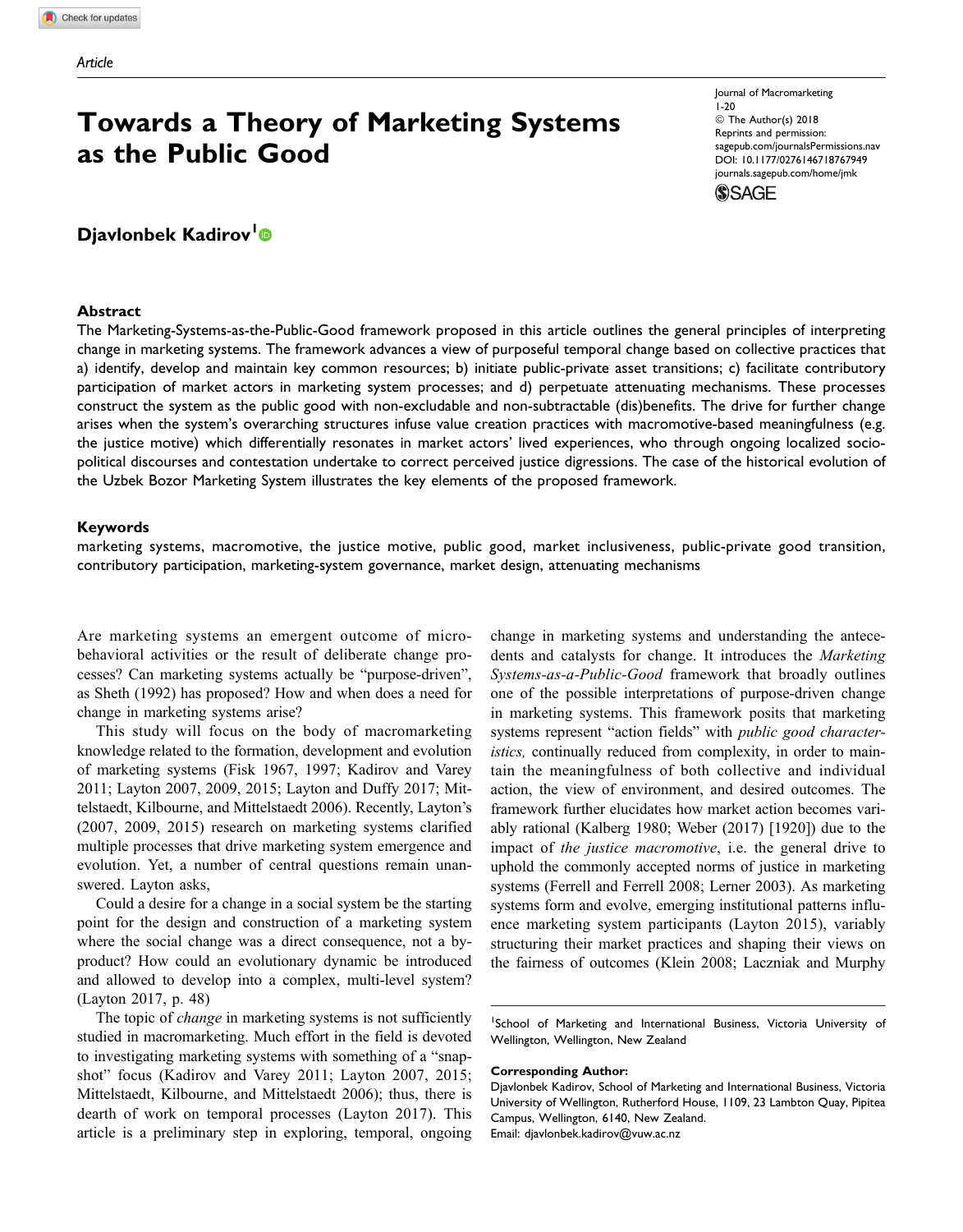# Towards a Theory of Marketing Systems as the Public Good

Journal of Macromarketing 1-20 ª The Author(s) 2018 Reprints and permission: [sagepub.com/journalsPermissions.nav](https://us.sagepub.com/en-us/journals-permissions) [DOI: 10.1177/0276146718767949](https://doi.org/10.1177/0276146718767949) [journals.sagepub.com/home/jmk](http://journals.sagepub.com/home/jmk)



# Djavlonbek Kadirov<sup>[1](http://orcid.org/0000-0001-7618-6903)</sup><sup>®</sup>

#### Abstract

The Marketing-Systems-as-the-Public-Good framework proposed in this article outlines the general principles of interpreting change in marketing systems. The framework advances a view of purposeful temporal change based on collective practices that a) identify, develop and maintain key common resources; b) initiate public-private asset transitions; c) facilitate contributory participation of market actors in marketing system processes; and d) perpetuate attenuating mechanisms. These processes construct the system as the public good with non-excludable and non-subtractable (dis)benefits. The drive for further change arises when the system's overarching structures infuse value creation practices with macromotive-based meaningfulness (e.g. the justice motive) which differentially resonates in market actors' lived experiences, who through ongoing localized sociopolitical discourses and contestation undertake to correct perceived justice digressions. The case of the historical evolution of the Uzbek Bozor Marketing System illustrates the key elements of the proposed framework.

#### Keywords

marketing systems, macromotive, the justice motive, public good, market inclusiveness, public-private good transition, contributory participation, marketing-system governance, market design, attenuating mechanisms

Are marketing systems an emergent outcome of microbehavioral activities or the result of deliberate change processes? Can marketing systems actually be "purpose-driven", as Sheth (1992) has proposed? How and when does a need for change in marketing systems arise?

This study will focus on the body of macromarketing knowledge related to the formation, development and evolution of marketing systems (Fisk 1967, 1997; Kadirov and Varey 2011; Layton 2007, 2009, 2015; Layton and Duffy 2017; Mittelstaedt, Kilbourne, and Mittelstaedt 2006). Recently, Layton's (2007, 2009, 2015) research on marketing systems clarified multiple processes that drive marketing system emergence and evolution. Yet, a number of central questions remain unanswered. Layton asks,

Could a desire for a change in a social system be the starting point for the design and construction of a marketing system where the social change was a direct consequence, not a byproduct? How could an evolutionary dynamic be introduced and allowed to develop into a complex, multi-level system? (Layton 2017, p. 48)

The topic of *change* in marketing systems is not sufficiently studied in macromarketing. Much effort in the field is devoted to investigating marketing systems with something of a "snapshot" focus (Kadirov and Varey 2011; Layton 2007, 2015; Mittelstaedt, Kilbourne, and Mittelstaedt 2006); thus, there is dearth of work on temporal processes (Layton 2017). This article is a preliminary step in exploring, temporal, ongoing change in marketing systems and understanding the antecedents and catalysts for change. It introduces the Marketing Systems-as-a-Public-Good framework that broadly outlines one of the possible interpretations of purpose-driven change in marketing systems. This framework posits that marketing systems represent "action fields" with public good characteristics, continually reduced from complexity, in order to maintain the meaningfulness of both collective and individual action, the view of environment, and desired outcomes. The framework further elucidates how market action becomes variably rational (Kalberg 1980; Weber (2017) [1920]) due to the impact of *the justice macromotive*, *i.e.* the general drive to uphold the commonly accepted norms of justice in marketing systems (Ferrell and Ferrell 2008; Lerner 2003). As marketing systems form and evolve, emerging institutional patterns influence marketing system participants (Layton 2015), variably structuring their market practices and shaping their views on the fairness of outcomes (Klein 2008; Laczniak and Murphy

<sup>1</sup>School of Marketing and International Business, Victoria University of Wellington, Wellington, New Zealand

#### Corresponding Author:

Djavlonbek Kadirov, School of Marketing and International Business, Victoria University of Wellington, Rutherford House, 1109, 23 Lambton Quay, Pipitea Campus, Wellington, 6140, New Zealand. Email: [djavlonbek.kadirov@vuw.ac.nz](mailto:djavlonbek.kadirov@vuw.ac.nz)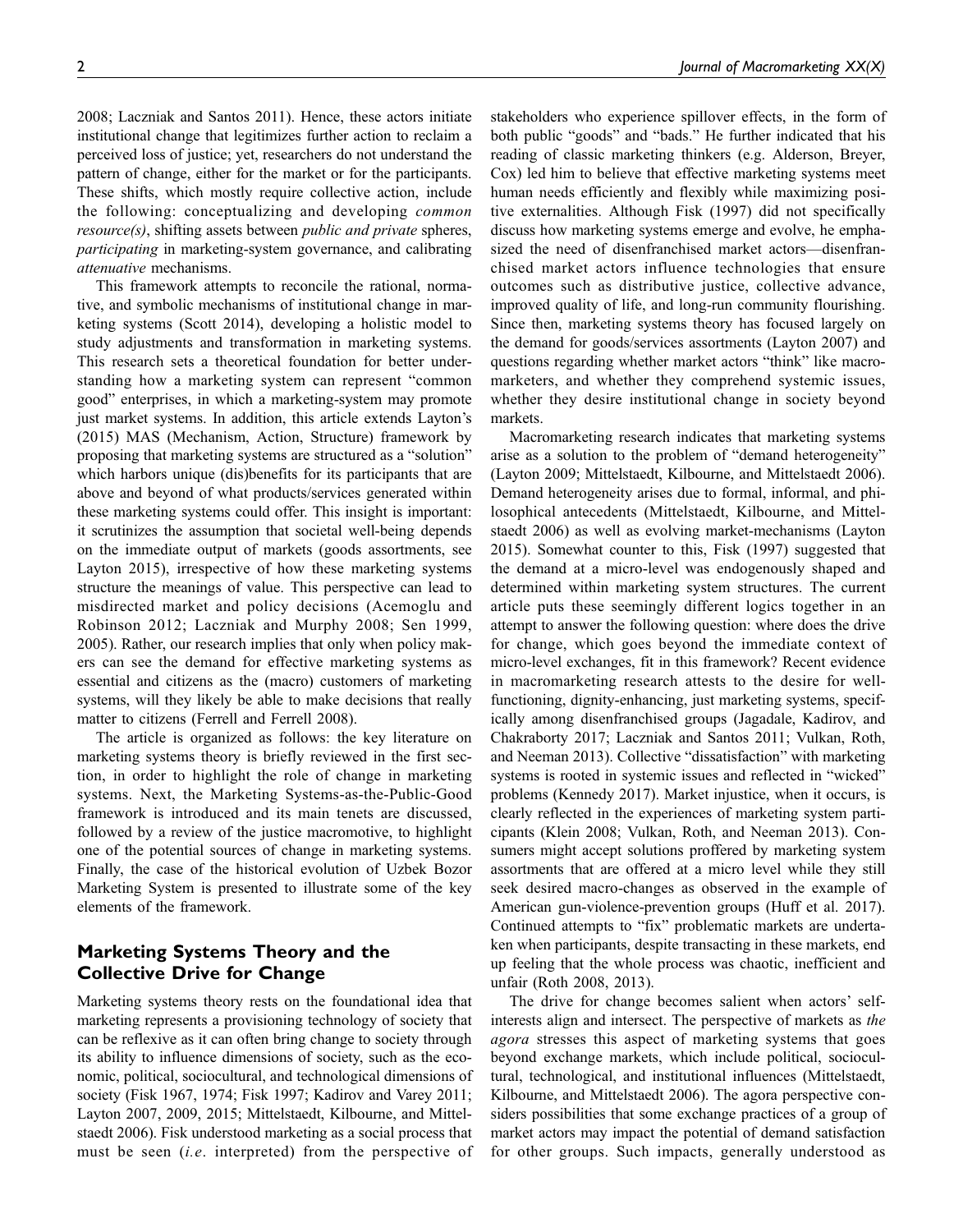2008; Laczniak and Santos 2011). Hence, these actors initiate institutional change that legitimizes further action to reclaim a perceived loss of justice; yet, researchers do not understand the pattern of change, either for the market or for the participants. These shifts, which mostly require collective action, include the following: conceptualizing and developing common resource(s), shifting assets between public and private spheres, participating in marketing-system governance, and calibrating attenuative mechanisms.

This framework attempts to reconcile the rational, normative, and symbolic mechanisms of institutional change in marketing systems (Scott 2014), developing a holistic model to study adjustments and transformation in marketing systems. This research sets a theoretical foundation for better understanding how a marketing system can represent "common good" enterprises, in which a marketing-system may promote just market systems. In addition, this article extends Layton's (2015) MAS (Mechanism, Action, Structure) framework by proposing that marketing systems are structured as a "solution" which harbors unique (dis)benefits for its participants that are above and beyond of what products/services generated within these marketing systems could offer. This insight is important: it scrutinizes the assumption that societal well-being depends on the immediate output of markets (goods assortments, see Layton 2015), irrespective of how these marketing systems structure the meanings of value. This perspective can lead to misdirected market and policy decisions (Acemoglu and Robinson 2012; Laczniak and Murphy 2008; Sen 1999, 2005). Rather, our research implies that only when policy makers can see the demand for effective marketing systems as essential and citizens as the (macro) customers of marketing systems, will they likely be able to make decisions that really matter to citizens (Ferrell and Ferrell 2008).

The article is organized as follows: the key literature on marketing systems theory is briefly reviewed in the first section, in order to highlight the role of change in marketing systems. Next, the Marketing Systems-as-the-Public-Good framework is introduced and its main tenets are discussed, followed by a review of the justice macromotive, to highlight one of the potential sources of change in marketing systems. Finally, the case of the historical evolution of Uzbek Bozor Marketing System is presented to illustrate some of the key elements of the framework.

### Marketing Systems Theory and the Collective Drive for Change

Marketing systems theory rests on the foundational idea that marketing represents a provisioning technology of society that can be reflexive as it can often bring change to society through its ability to influence dimensions of society, such as the economic, political, sociocultural, and technological dimensions of society (Fisk 1967, 1974; Fisk 1997; Kadirov and Varey 2011; Layton 2007, 2009, 2015; Mittelstaedt, Kilbourne, and Mittelstaedt 2006). Fisk understood marketing as a social process that must be seen *(i.e.* interpreted) from the perspective of stakeholders who experience spillover effects, in the form of both public "goods" and "bads." He further indicated that his reading of classic marketing thinkers (e.g. Alderson, Breyer, Cox) led him to believe that effective marketing systems meet human needs efficiently and flexibly while maximizing positive externalities. Although Fisk (1997) did not specifically discuss how marketing systems emerge and evolve, he emphasized the need of disenfranchised market actors—disenfranchised market actors influence technologies that ensure outcomes such as distributive justice, collective advance, improved quality of life, and long-run community flourishing. Since then, marketing systems theory has focused largely on the demand for goods/services assortments (Layton 2007) and questions regarding whether market actors "think" like macromarketers, and whether they comprehend systemic issues, whether they desire institutional change in society beyond markets.

Macromarketing research indicates that marketing systems arise as a solution to the problem of "demand heterogeneity" (Layton 2009; Mittelstaedt, Kilbourne, and Mittelstaedt 2006). Demand heterogeneity arises due to formal, informal, and philosophical antecedents (Mittelstaedt, Kilbourne, and Mittelstaedt 2006) as well as evolving market-mechanisms (Layton 2015). Somewhat counter to this, Fisk (1997) suggested that the demand at a micro-level was endogenously shaped and determined within marketing system structures. The current article puts these seemingly different logics together in an attempt to answer the following question: where does the drive for change, which goes beyond the immediate context of micro-level exchanges, fit in this framework? Recent evidence in macromarketing research attests to the desire for wellfunctioning, dignity-enhancing, just marketing systems, specifically among disenfranchised groups (Jagadale, Kadirov, and Chakraborty 2017; Laczniak and Santos 2011; Vulkan, Roth, and Neeman 2013). Collective "dissatisfaction" with marketing systems is rooted in systemic issues and reflected in "wicked" problems (Kennedy 2017). Market injustice, when it occurs, is clearly reflected in the experiences of marketing system participants (Klein 2008; Vulkan, Roth, and Neeman 2013). Consumers might accept solutions proffered by marketing system assortments that are offered at a micro level while they still seek desired macro-changes as observed in the example of American gun-violence-prevention groups (Huff et al. 2017). Continued attempts to "fix" problematic markets are undertaken when participants, despite transacting in these markets, end up feeling that the whole process was chaotic, inefficient and unfair (Roth 2008, 2013).

The drive for change becomes salient when actors' selfinterests align and intersect. The perspective of markets as the agora stresses this aspect of marketing systems that goes beyond exchange markets, which include political, sociocultural, technological, and institutional influences (Mittelstaedt, Kilbourne, and Mittelstaedt 2006). The agora perspective considers possibilities that some exchange practices of a group of market actors may impact the potential of demand satisfaction for other groups. Such impacts, generally understood as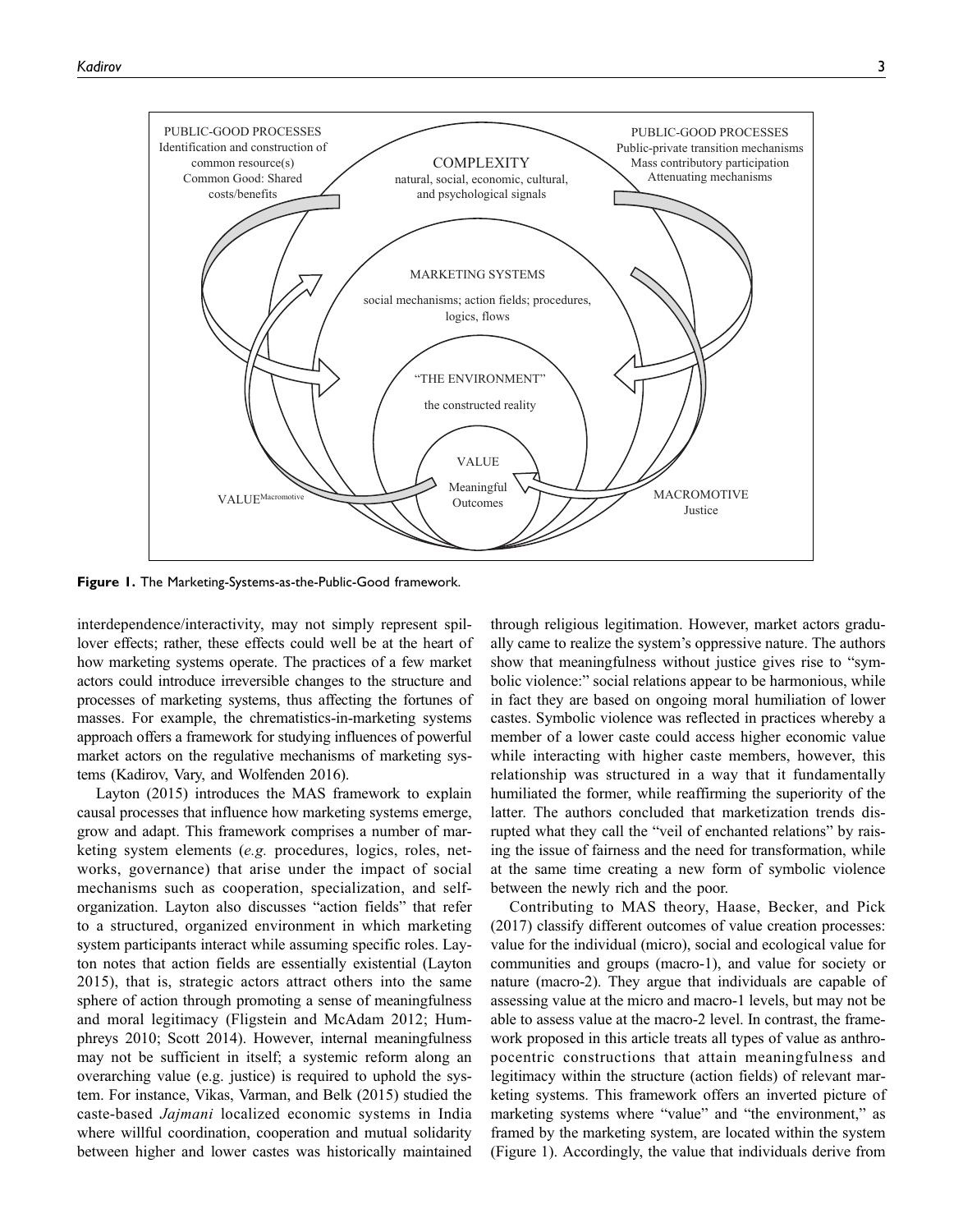

Figure 1. The Marketing-Systems-as-the-Public-Good framework.

interdependence/interactivity, may not simply represent spillover effects; rather, these effects could well be at the heart of how marketing systems operate. The practices of a few market actors could introduce irreversible changes to the structure and processes of marketing systems, thus affecting the fortunes of masses. For example, the chrematistics-in-marketing systems approach offers a framework for studying influences of powerful market actors on the regulative mechanisms of marketing systems (Kadirov, Vary, and Wolfenden 2016).

Layton (2015) introduces the MAS framework to explain causal processes that influence how marketing systems emerge, grow and adapt. This framework comprises a number of marketing system elements (e.g. procedures, logics, roles, networks, governance) that arise under the impact of social mechanisms such as cooperation, specialization, and selforganization. Layton also discusses "action fields" that refer to a structured, organized environment in which marketing system participants interact while assuming specific roles. Layton notes that action fields are essentially existential (Layton 2015), that is, strategic actors attract others into the same sphere of action through promoting a sense of meaningfulness and moral legitimacy (Fligstein and McAdam 2012; Humphreys 2010; Scott 2014). However, internal meaningfulness may not be sufficient in itself; a systemic reform along an overarching value (e.g. justice) is required to uphold the system. For instance, Vikas, Varman, and Belk (2015) studied the caste-based Jajmani localized economic systems in India where willful coordination, cooperation and mutual solidarity between higher and lower castes was historically maintained through religious legitimation. However, market actors gradually came to realize the system's oppressive nature. The authors show that meaningfulness without justice gives rise to "symbolic violence:" social relations appear to be harmonious, while in fact they are based on ongoing moral humiliation of lower castes. Symbolic violence was reflected in practices whereby a member of a lower caste could access higher economic value while interacting with higher caste members, however, this relationship was structured in a way that it fundamentally humiliated the former, while reaffirming the superiority of the latter. The authors concluded that marketization trends disrupted what they call the "veil of enchanted relations" by raising the issue of fairness and the need for transformation, while at the same time creating a new form of symbolic violence between the newly rich and the poor.

Contributing to MAS theory, Haase, Becker, and Pick (2017) classify different outcomes of value creation processes: value for the individual (micro), social and ecological value for communities and groups (macro-1), and value for society or nature (macro-2). They argue that individuals are capable of assessing value at the micro and macro-1 levels, but may not be able to assess value at the macro-2 level. In contrast, the framework proposed in this article treats all types of value as anthropocentric constructions that attain meaningfulness and legitimacy within the structure (action fields) of relevant marketing systems. This framework offers an inverted picture of marketing systems where "value" and "the environment," as framed by the marketing system, are located within the system (Figure 1). Accordingly, the value that individuals derive from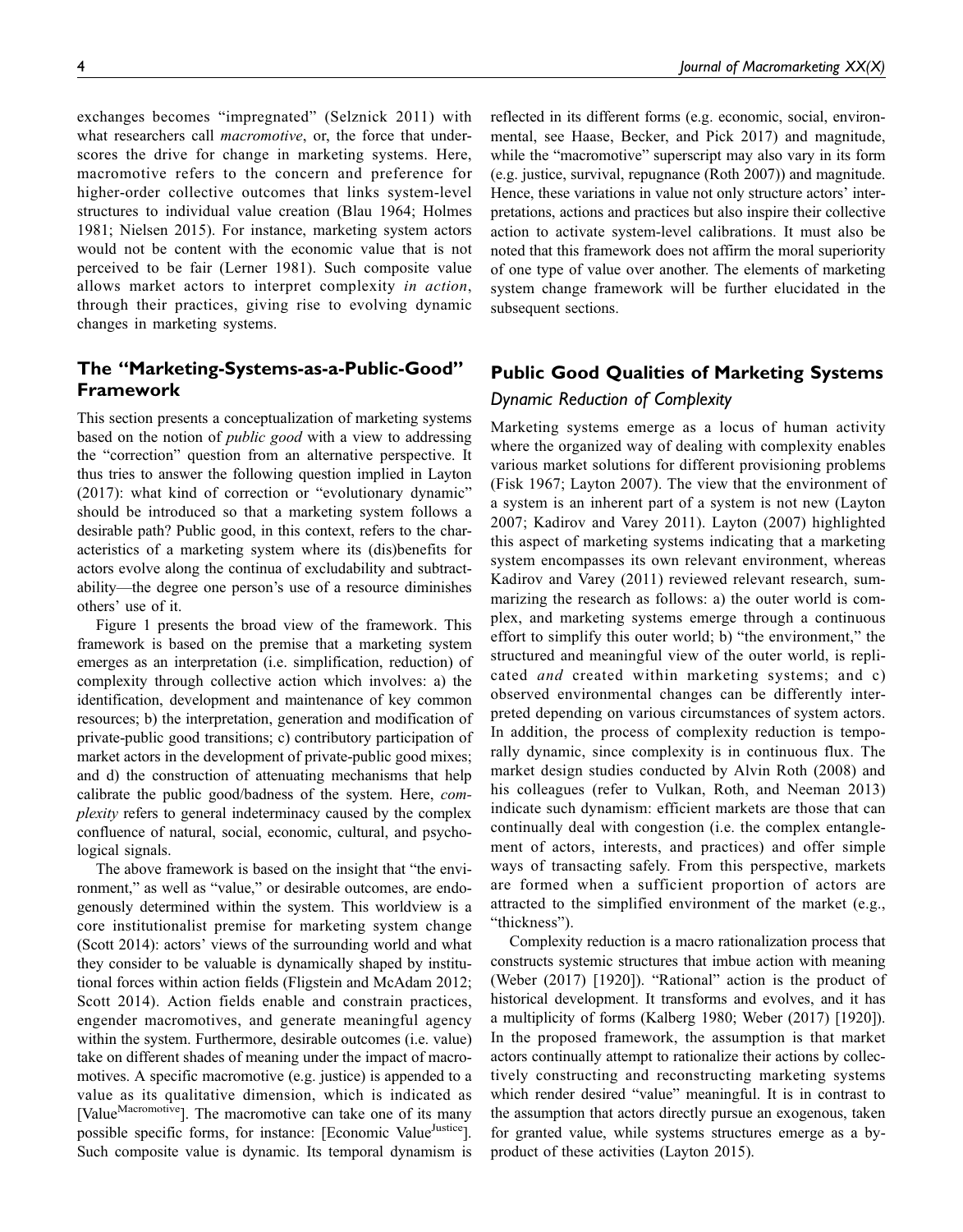exchanges becomes "impregnated" (Selznick 2011) with what researchers call *macromotive*, or, the force that underscores the drive for change in marketing systems. Here, macromotive refers to the concern and preference for higher-order collective outcomes that links system-level structures to individual value creation (Blau 1964; Holmes 1981; Nielsen 2015). For instance, marketing system actors would not be content with the economic value that is not perceived to be fair (Lerner 1981). Such composite value allows market actors to interpret complexity in action, through their practices, giving rise to evolving dynamic changes in marketing systems.

# The "Marketing-Systems-as-a-Public-Good" Framework

This section presents a conceptualization of marketing systems based on the notion of *public good* with a view to addressing the "correction" question from an alternative perspective. It thus tries to answer the following question implied in Layton (2017): what kind of correction or "evolutionary dynamic" should be introduced so that a marketing system follows a desirable path? Public good, in this context, refers to the characteristics of a marketing system where its (dis)benefits for actors evolve along the continua of excludability and subtractability—the degree one person's use of a resource diminishes others' use of it.

Figure 1 presents the broad view of the framework. This framework is based on the premise that a marketing system emerges as an interpretation (i.e. simplification, reduction) of complexity through collective action which involves: a) the identification, development and maintenance of key common resources; b) the interpretation, generation and modification of private-public good transitions; c) contributory participation of market actors in the development of private-public good mixes; and d) the construction of attenuating mechanisms that help calibrate the public good/badness of the system. Here, complexity refers to general indeterminacy caused by the complex confluence of natural, social, economic, cultural, and psychological signals.

The above framework is based on the insight that "the environment," as well as "value," or desirable outcomes, are endogenously determined within the system. This worldview is a core institutionalist premise for marketing system change (Scott 2014): actors' views of the surrounding world and what they consider to be valuable is dynamically shaped by institutional forces within action fields (Fligstein and McAdam 2012; Scott 2014). Action fields enable and constrain practices, engender macromotives, and generate meaningful agency within the system. Furthermore, desirable outcomes (i.e. value) take on different shades of meaning under the impact of macromotives. A specific macromotive (e.g. justice) is appended to a value as its qualitative dimension, which is indicated as [Value<sup>Macromotive</sup>]. The macromotive can take one of its many possible specific forms, for instance: [Economic Value<sup>Justice</sup>]. Such composite value is dynamic. Its temporal dynamism is

reflected in its different forms (e.g. economic, social, environmental, see Haase, Becker, and Pick 2017) and magnitude, while the "macromotive" superscript may also vary in its form (e.g. justice, survival, repugnance (Roth 2007)) and magnitude. Hence, these variations in value not only structure actors' interpretations, actions and practices but also inspire their collective action to activate system-level calibrations. It must also be noted that this framework does not affirm the moral superiority of one type of value over another. The elements of marketing system change framework will be further elucidated in the subsequent sections.

### Public Good Qualities of Marketing Systems

### Dynamic Reduction of Complexity

Marketing systems emerge as a locus of human activity where the organized way of dealing with complexity enables various market solutions for different provisioning problems (Fisk 1967; Layton 2007). The view that the environment of a system is an inherent part of a system is not new (Layton 2007; Kadirov and Varey 2011). Layton (2007) highlighted this aspect of marketing systems indicating that a marketing system encompasses its own relevant environment, whereas Kadirov and Varey (2011) reviewed relevant research, summarizing the research as follows: a) the outer world is complex, and marketing systems emerge through a continuous effort to simplify this outer world; b) "the environment," the structured and meaningful view of the outer world, is replicated *and* created within marketing systems; and c) observed environmental changes can be differently interpreted depending on various circumstances of system actors. In addition, the process of complexity reduction is temporally dynamic, since complexity is in continuous flux. The market design studies conducted by Alvin Roth (2008) and his colleagues (refer to Vulkan, Roth, and Neeman 2013) indicate such dynamism: efficient markets are those that can continually deal with congestion (i.e. the complex entanglement of actors, interests, and practices) and offer simple ways of transacting safely. From this perspective, markets are formed when a sufficient proportion of actors are attracted to the simplified environment of the market (e.g., "thickness").

Complexity reduction is a macro rationalization process that constructs systemic structures that imbue action with meaning (Weber (2017) [1920]). "Rational" action is the product of historical development. It transforms and evolves, and it has a multiplicity of forms (Kalberg 1980; Weber (2017) [1920]). In the proposed framework, the assumption is that market actors continually attempt to rationalize their actions by collectively constructing and reconstructing marketing systems which render desired "value" meaningful. It is in contrast to the assumption that actors directly pursue an exogenous, taken for granted value, while systems structures emerge as a byproduct of these activities (Layton 2015).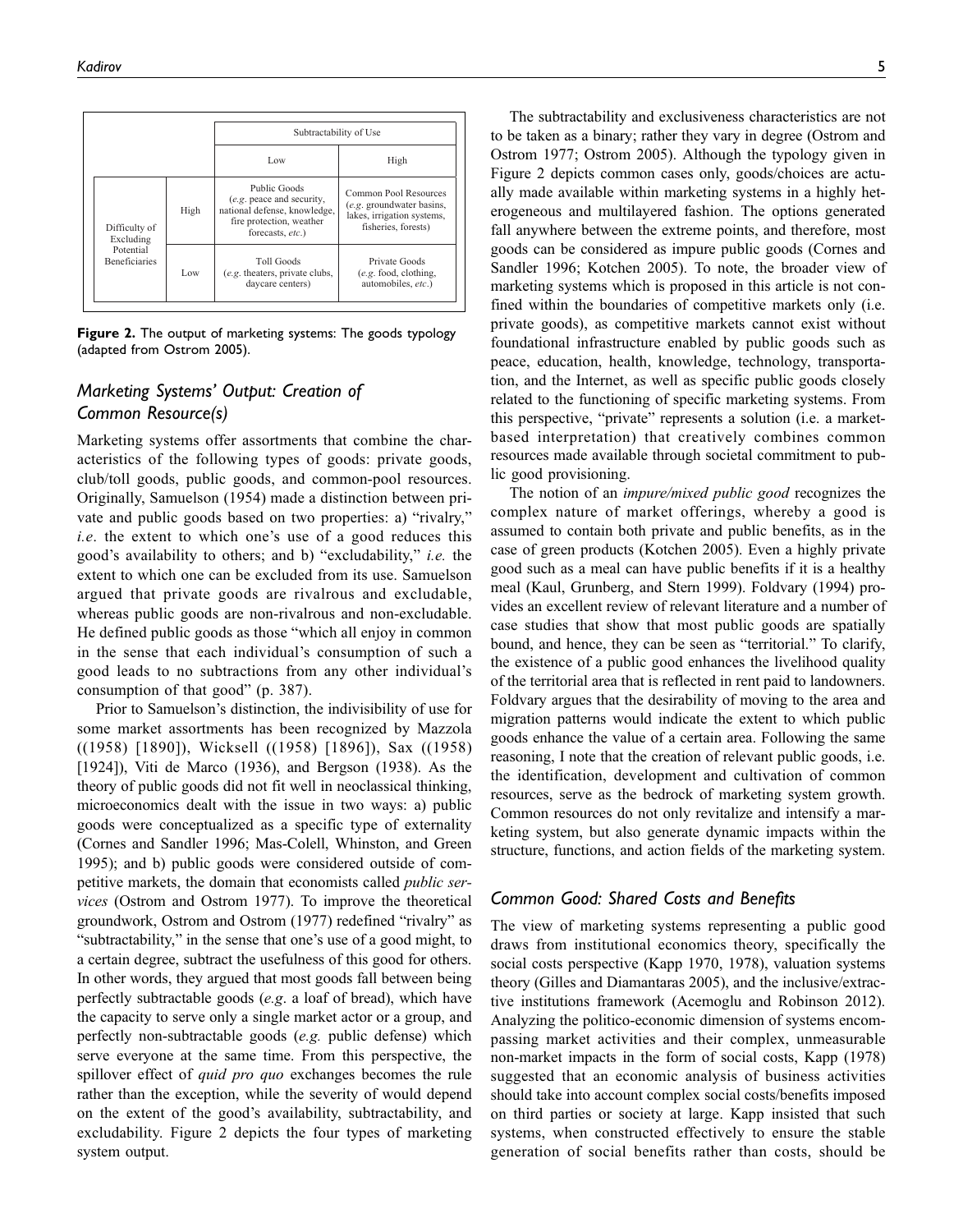|                                                                 |      | Subtractability of Use                                                                                                    |                                                                                                         |
|-----------------------------------------------------------------|------|---------------------------------------------------------------------------------------------------------------------------|---------------------------------------------------------------------------------------------------------|
|                                                                 |      | Low                                                                                                                       | High                                                                                                    |
| Difficulty of<br>Excluding<br>Potential<br><b>Beneficiaries</b> | High | Public Goods<br>(e.g. peace and security,<br>national defense, knowledge,<br>fire protection, weather<br>forecasts, etc.) | Common Pool Resources<br>(e.g. groundwater basins,<br>lakes, irrigation systems,<br>fisheries, forests) |
|                                                                 | Low  | <b>Toll Goods</b><br>(e.g. theaters, private clubs,<br>daycare centers)                                                   | Private Goods<br>$(e.g.$ food, clothing,<br>automobiles, etc.)                                          |

Figure 2. The output of marketing systems: The goods typology (adapted from Ostrom 2005).

# Marketing Systems' Output: Creation of Common Resource(s)

Marketing systems offer assortments that combine the characteristics of the following types of goods: private goods, club/toll goods, public goods, and common-pool resources. Originally, Samuelson (1954) made a distinction between private and public goods based on two properties: a) "rivalry," *i.e.* the extent to which one's use of a good reduces this good's availability to others; and b) "excludability," i.e. the extent to which one can be excluded from its use. Samuelson argued that private goods are rivalrous and excludable, whereas public goods are non-rivalrous and non-excludable. He defined public goods as those "which all enjoy in common in the sense that each individual's consumption of such a good leads to no subtractions from any other individual's consumption of that good" (p. 387).

Prior to Samuelson's distinction, the indivisibility of use for some market assortments has been recognized by Mazzola ((1958) [1890]), Wicksell ((1958) [1896]), Sax ((1958) [1924]), Viti de Marco (1936), and Bergson (1938). As the theory of public goods did not fit well in neoclassical thinking, microeconomics dealt with the issue in two ways: a) public goods were conceptualized as a specific type of externality (Cornes and Sandler 1996; Mas-Colell, Whinston, and Green 1995); and b) public goods were considered outside of competitive markets, the domain that economists called *public ser*vices (Ostrom and Ostrom 1977). To improve the theoretical groundwork, Ostrom and Ostrom (1977) redefined "rivalry" as "subtractability," in the sense that one's use of a good might, to a certain degree, subtract the usefulness of this good for others. In other words, they argued that most goods fall between being perfectly subtractable goods (e.g. a loaf of bread), which have the capacity to serve only a single market actor or a group, and perfectly non-subtractable goods (e.g. public defense) which serve everyone at the same time. From this perspective, the spillover effect of *quid pro quo* exchanges becomes the rule rather than the exception, while the severity of would depend on the extent of the good's availability, subtractability, and excludability. Figure 2 depicts the four types of marketing system output.

The subtractability and exclusiveness characteristics are not to be taken as a binary; rather they vary in degree (Ostrom and Ostrom 1977; Ostrom 2005). Although the typology given in Figure 2 depicts common cases only, goods/choices are actually made available within marketing systems in a highly heterogeneous and multilayered fashion. The options generated fall anywhere between the extreme points, and therefore, most goods can be considered as impure public goods (Cornes and Sandler 1996; Kotchen 2005). To note, the broader view of marketing systems which is proposed in this article is not confined within the boundaries of competitive markets only (i.e. private goods), as competitive markets cannot exist without foundational infrastructure enabled by public goods such as peace, education, health, knowledge, technology, transportation, and the Internet, as well as specific public goods closely related to the functioning of specific marketing systems. From this perspective, "private" represents a solution (i.e. a marketbased interpretation) that creatively combines common resources made available through societal commitment to public good provisioning.

The notion of an *impure/mixed public good* recognizes the complex nature of market offerings, whereby a good is assumed to contain both private and public benefits, as in the case of green products (Kotchen 2005). Even a highly private good such as a meal can have public benefits if it is a healthy meal (Kaul, Grunberg, and Stern 1999). Foldvary (1994) provides an excellent review of relevant literature and a number of case studies that show that most public goods are spatially bound, and hence, they can be seen as "territorial." To clarify, the existence of a public good enhances the livelihood quality of the territorial area that is reflected in rent paid to landowners. Foldvary argues that the desirability of moving to the area and migration patterns would indicate the extent to which public goods enhance the value of a certain area. Following the same reasoning, I note that the creation of relevant public goods, i.e. the identification, development and cultivation of common resources, serve as the bedrock of marketing system growth. Common resources do not only revitalize and intensify a marketing system, but also generate dynamic impacts within the structure, functions, and action fields of the marketing system.

### Common Good: Shared Costs and Benefits

The view of marketing systems representing a public good draws from institutional economics theory, specifically the social costs perspective (Kapp 1970, 1978), valuation systems theory (Gilles and Diamantaras 2005), and the inclusive/extractive institutions framework (Acemoglu and Robinson 2012). Analyzing the politico-economic dimension of systems encompassing market activities and their complex, unmeasurable non-market impacts in the form of social costs, Kapp (1978) suggested that an economic analysis of business activities should take into account complex social costs/benefits imposed on third parties or society at large. Kapp insisted that such systems, when constructed effectively to ensure the stable generation of social benefits rather than costs, should be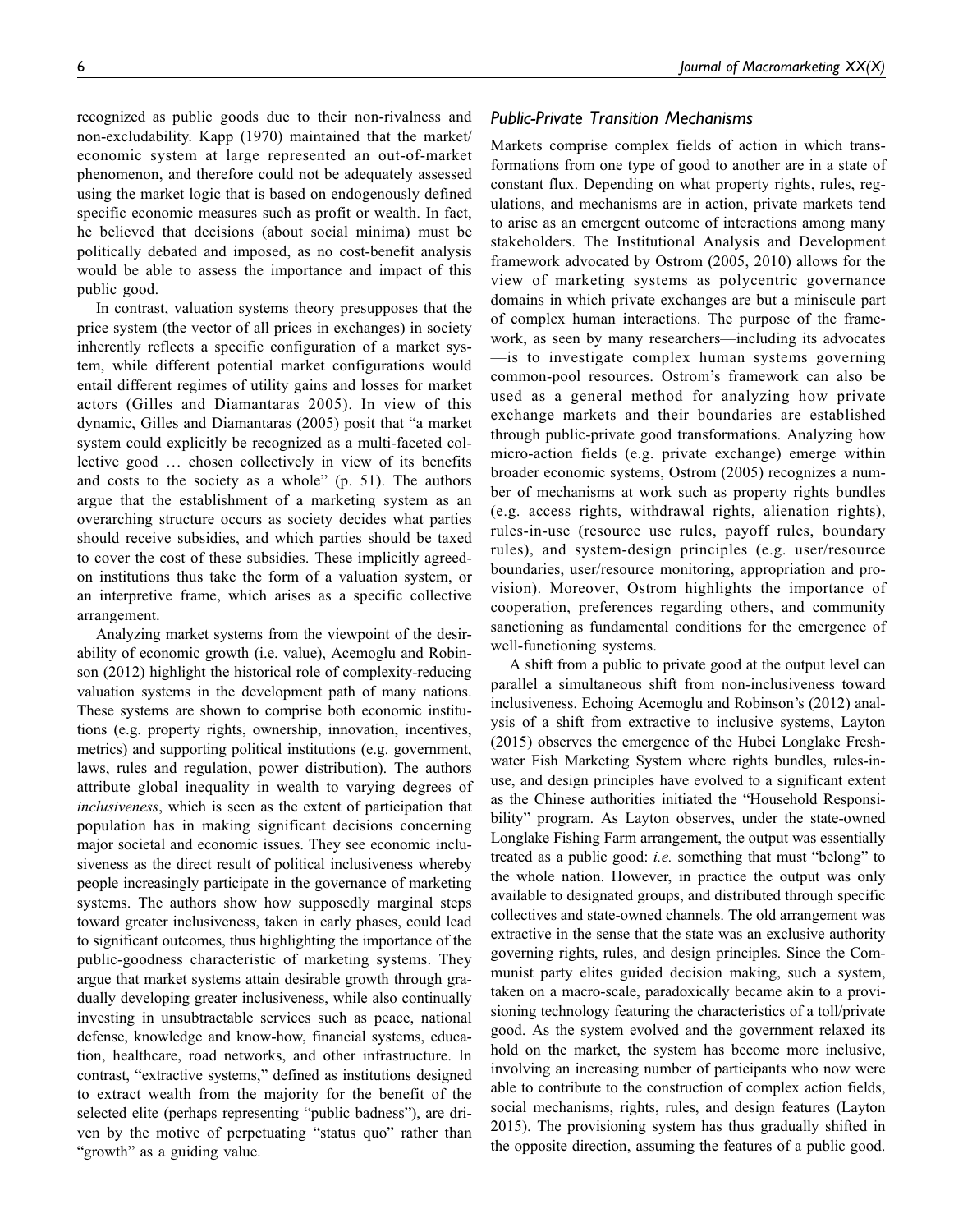recognized as public goods due to their non-rivalness and non-excludability. Kapp (1970) maintained that the market/ economic system at large represented an out-of-market phenomenon, and therefore could not be adequately assessed using the market logic that is based on endogenously defined specific economic measures such as profit or wealth. In fact, he believed that decisions (about social minima) must be politically debated and imposed, as no cost-benefit analysis would be able to assess the importance and impact of this public good.

In contrast, valuation systems theory presupposes that the price system (the vector of all prices in exchanges) in society inherently reflects a specific configuration of a market system, while different potential market configurations would entail different regimes of utility gains and losses for market actors (Gilles and Diamantaras 2005). In view of this dynamic, Gilles and Diamantaras (2005) posit that "a market system could explicitly be recognized as a multi-faceted collective good … chosen collectively in view of its benefits and costs to the society as a whole" (p. 51). The authors argue that the establishment of a marketing system as an overarching structure occurs as society decides what parties should receive subsidies, and which parties should be taxed to cover the cost of these subsidies. These implicitly agreedon institutions thus take the form of a valuation system, or an interpretive frame, which arises as a specific collective arrangement.

Analyzing market systems from the viewpoint of the desirability of economic growth (i.e. value), Acemoglu and Robinson (2012) highlight the historical role of complexity-reducing valuation systems in the development path of many nations. These systems are shown to comprise both economic institutions (e.g. property rights, ownership, innovation, incentives, metrics) and supporting political institutions (e.g. government, laws, rules and regulation, power distribution). The authors attribute global inequality in wealth to varying degrees of inclusiveness, which is seen as the extent of participation that population has in making significant decisions concerning major societal and economic issues. They see economic inclusiveness as the direct result of political inclusiveness whereby people increasingly participate in the governance of marketing systems. The authors show how supposedly marginal steps toward greater inclusiveness, taken in early phases, could lead to significant outcomes, thus highlighting the importance of the public-goodness characteristic of marketing systems. They argue that market systems attain desirable growth through gradually developing greater inclusiveness, while also continually investing in unsubtractable services such as peace, national defense, knowledge and know-how, financial systems, education, healthcare, road networks, and other infrastructure. In contrast, "extractive systems," defined as institutions designed to extract wealth from the majority for the benefit of the selected elite (perhaps representing "public badness"), are driven by the motive of perpetuating "status quo" rather than "growth" as a guiding value.

### Public-Private Transition Mechanisms

Markets comprise complex fields of action in which transformations from one type of good to another are in a state of constant flux. Depending on what property rights, rules, regulations, and mechanisms are in action, private markets tend to arise as an emergent outcome of interactions among many stakeholders. The Institutional Analysis and Development framework advocated by Ostrom (2005, 2010) allows for the view of marketing systems as polycentric governance domains in which private exchanges are but a miniscule part of complex human interactions. The purpose of the framework, as seen by many researchers—including its advocates —is to investigate complex human systems governing common-pool resources. Ostrom's framework can also be used as a general method for analyzing how private exchange markets and their boundaries are established through public-private good transformations. Analyzing how micro-action fields (e.g. private exchange) emerge within broader economic systems, Ostrom (2005) recognizes a number of mechanisms at work such as property rights bundles (e.g. access rights, withdrawal rights, alienation rights), rules-in-use (resource use rules, payoff rules, boundary rules), and system-design principles (e.g. user/resource boundaries, user/resource monitoring, appropriation and provision). Moreover, Ostrom highlights the importance of cooperation, preferences regarding others, and community sanctioning as fundamental conditions for the emergence of well-functioning systems.

A shift from a public to private good at the output level can parallel a simultaneous shift from non-inclusiveness toward inclusiveness. Echoing Acemoglu and Robinson's (2012) analysis of a shift from extractive to inclusive systems, Layton (2015) observes the emergence of the Hubei Longlake Freshwater Fish Marketing System where rights bundles, rules-inuse, and design principles have evolved to a significant extent as the Chinese authorities initiated the "Household Responsibility" program. As Layton observes, under the state-owned Longlake Fishing Farm arrangement, the output was essentially treated as a public good: i.e. something that must "belong" to the whole nation. However, in practice the output was only available to designated groups, and distributed through specific collectives and state-owned channels. The old arrangement was extractive in the sense that the state was an exclusive authority governing rights, rules, and design principles. Since the Communist party elites guided decision making, such a system, taken on a macro-scale, paradoxically became akin to a provisioning technology featuring the characteristics of a toll/private good. As the system evolved and the government relaxed its hold on the market, the system has become more inclusive, involving an increasing number of participants who now were able to contribute to the construction of complex action fields, social mechanisms, rights, rules, and design features (Layton 2015). The provisioning system has thus gradually shifted in the opposite direction, assuming the features of a public good.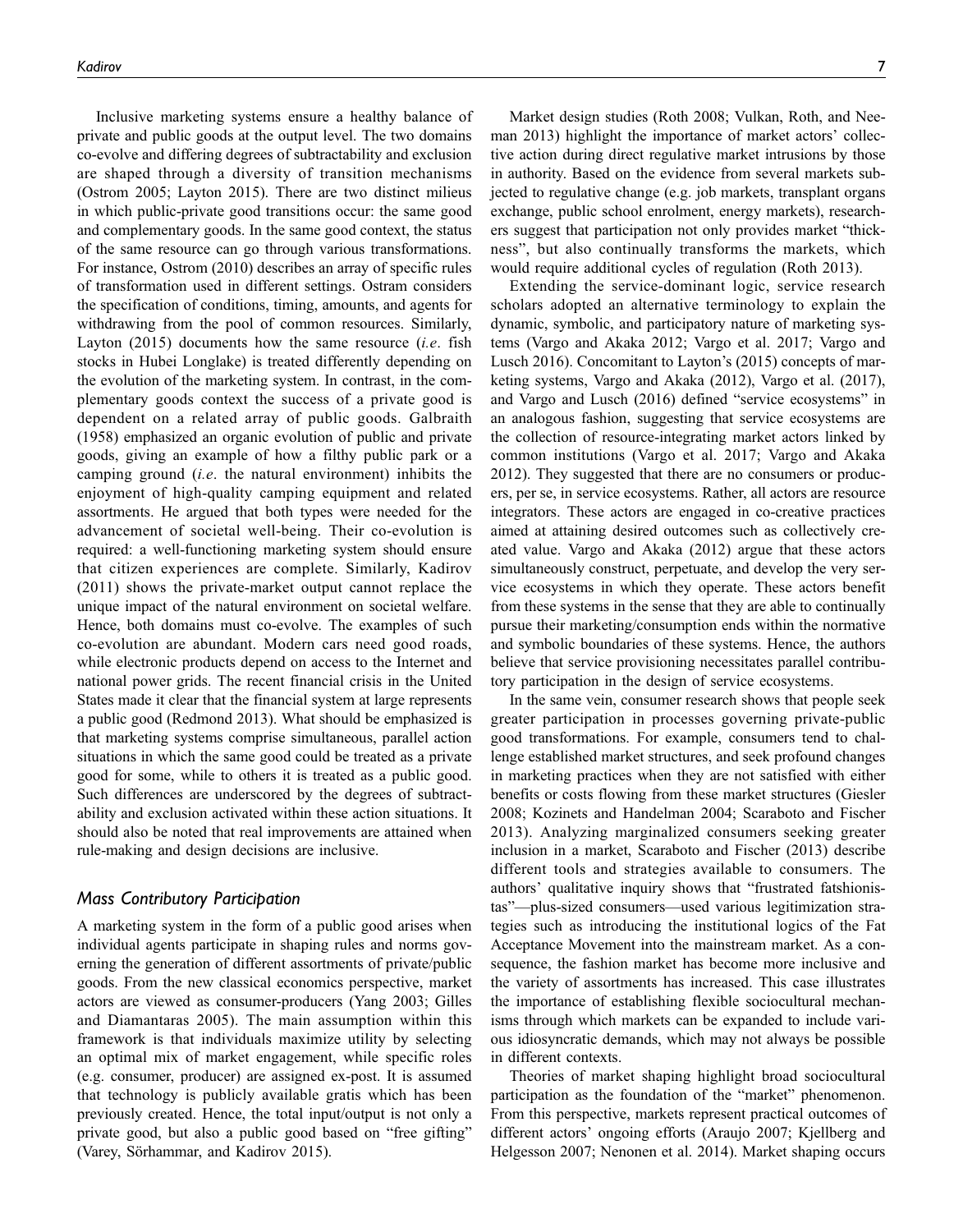Inclusive marketing systems ensure a healthy balance of private and public goods at the output level. The two domains co-evolve and differing degrees of subtractability and exclusion are shaped through a diversity of transition mechanisms (Ostrom 2005; Layton 2015). There are two distinct milieus in which public-private good transitions occur: the same good and complementary goods. In the same good context, the status of the same resource can go through various transformations. For instance, Ostrom (2010) describes an array of specific rules of transformation used in different settings. Ostram considers the specification of conditions, timing, amounts, and agents for withdrawing from the pool of common resources. Similarly, Layton  $(2015)$  documents how the same resource *(i.e.* fish stocks in Hubei Longlake) is treated differently depending on the evolution of the marketing system. In contrast, in the complementary goods context the success of a private good is dependent on a related array of public goods. Galbraith (1958) emphasized an organic evolution of public and private goods, giving an example of how a filthy public park or a camping ground (i.e. the natural environment) inhibits the enjoyment of high-quality camping equipment and related assortments. He argued that both types were needed for the advancement of societal well-being. Their co-evolution is required: a well-functioning marketing system should ensure that citizen experiences are complete. Similarly, Kadirov (2011) shows the private-market output cannot replace the unique impact of the natural environment on societal welfare. Hence, both domains must co-evolve. The examples of such co-evolution are abundant. Modern cars need good roads, while electronic products depend on access to the Internet and national power grids. The recent financial crisis in the United States made it clear that the financial system at large represents a public good (Redmond 2013). What should be emphasized is that marketing systems comprise simultaneous, parallel action situations in which the same good could be treated as a private good for some, while to others it is treated as a public good. Such differences are underscored by the degrees of subtractability and exclusion activated within these action situations. It should also be noted that real improvements are attained when rule-making and design decisions are inclusive.

#### Mass Contributory Participation

A marketing system in the form of a public good arises when individual agents participate in shaping rules and norms governing the generation of different assortments of private/public goods. From the new classical economics perspective, market actors are viewed as consumer-producers (Yang 2003; Gilles and Diamantaras 2005). The main assumption within this framework is that individuals maximize utility by selecting an optimal mix of market engagement, while specific roles (e.g. consumer, producer) are assigned ex-post. It is assumed that technology is publicly available gratis which has been previously created. Hence, the total input/output is not only a private good, but also a public good based on "free gifting" (Varey, Sörhammar, and Kadirov 2015).

Market design studies (Roth 2008; Vulkan, Roth, and Neeman 2013) highlight the importance of market actors' collective action during direct regulative market intrusions by those in authority. Based on the evidence from several markets subjected to regulative change (e.g. job markets, transplant organs exchange, public school enrolment, energy markets), researchers suggest that participation not only provides market "thickness", but also continually transforms the markets, which would require additional cycles of regulation (Roth 2013).

Extending the service-dominant logic, service research scholars adopted an alternative terminology to explain the dynamic, symbolic, and participatory nature of marketing systems (Vargo and Akaka 2012; Vargo et al. 2017; Vargo and Lusch 2016). Concomitant to Layton's (2015) concepts of marketing systems, Vargo and Akaka (2012), Vargo et al. (2017), and Vargo and Lusch (2016) defined "service ecosystems" in an analogous fashion, suggesting that service ecosystems are the collection of resource-integrating market actors linked by common institutions (Vargo et al. 2017; Vargo and Akaka 2012). They suggested that there are no consumers or producers, per se, in service ecosystems. Rather, all actors are resource integrators. These actors are engaged in co-creative practices aimed at attaining desired outcomes such as collectively created value. Vargo and Akaka (2012) argue that these actors simultaneously construct, perpetuate, and develop the very service ecosystems in which they operate. These actors benefit from these systems in the sense that they are able to continually pursue their marketing/consumption ends within the normative and symbolic boundaries of these systems. Hence, the authors believe that service provisioning necessitates parallel contributory participation in the design of service ecosystems.

In the same vein, consumer research shows that people seek greater participation in processes governing private-public good transformations. For example, consumers tend to challenge established market structures, and seek profound changes in marketing practices when they are not satisfied with either benefits or costs flowing from these market structures (Giesler 2008; Kozinets and Handelman 2004; Scaraboto and Fischer 2013). Analyzing marginalized consumers seeking greater inclusion in a market, Scaraboto and Fischer (2013) describe different tools and strategies available to consumers. The authors' qualitative inquiry shows that "frustrated fatshionistas"—plus-sized consumers—used various legitimization strategies such as introducing the institutional logics of the Fat Acceptance Movement into the mainstream market. As a consequence, the fashion market has become more inclusive and the variety of assortments has increased. This case illustrates the importance of establishing flexible sociocultural mechanisms through which markets can be expanded to include various idiosyncratic demands, which may not always be possible in different contexts.

Theories of market shaping highlight broad sociocultural participation as the foundation of the "market" phenomenon. From this perspective, markets represent practical outcomes of different actors' ongoing efforts (Araujo 2007; Kjellberg and Helgesson 2007; Nenonen et al. 2014). Market shaping occurs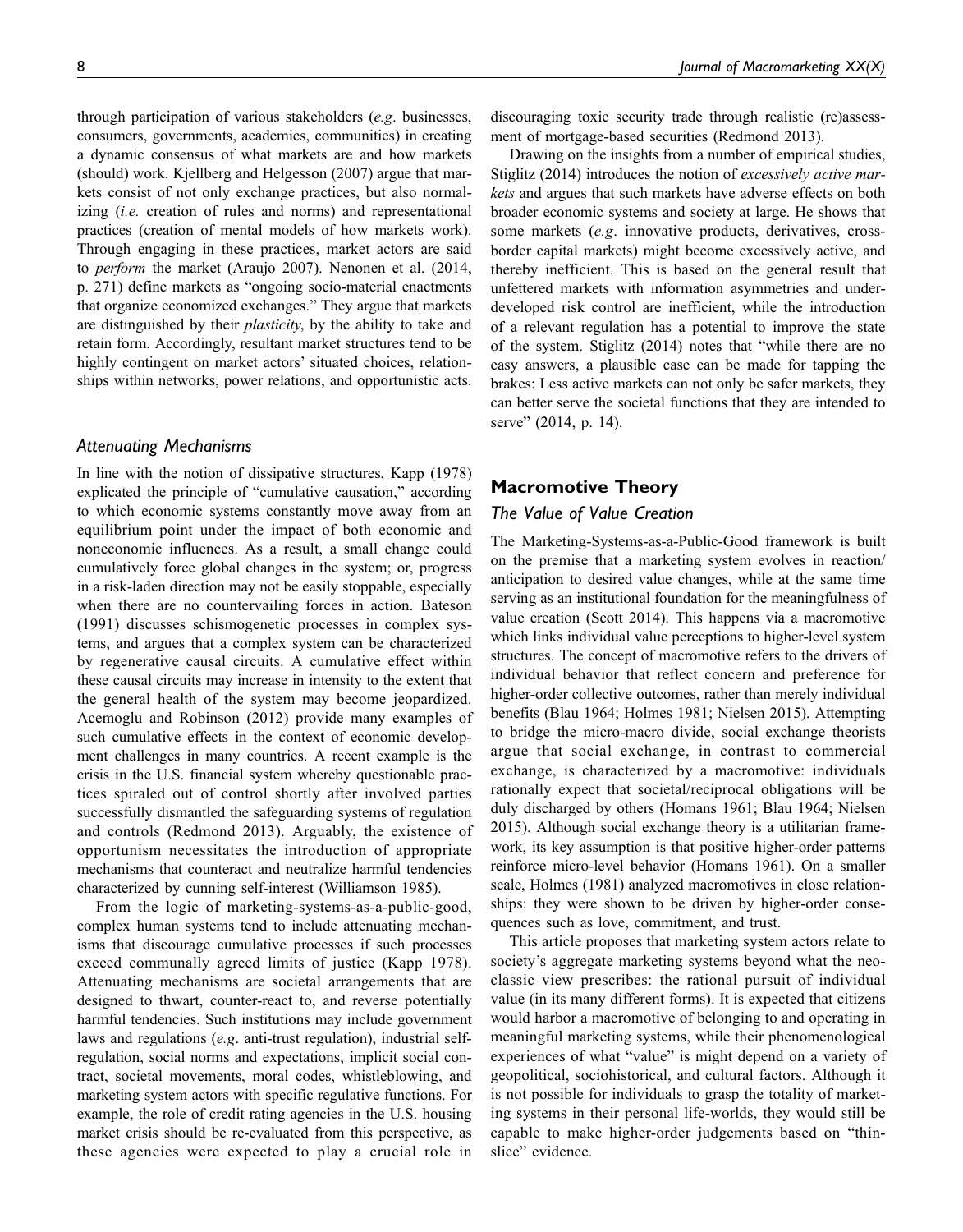through participation of various stakeholders (e.g. businesses, consumers, governments, academics, communities) in creating a dynamic consensus of what markets are and how markets (should) work. Kjellberg and Helgesson (2007) argue that markets consist of not only exchange practices, but also normalizing (i.e. creation of rules and norms) and representational practices (creation of mental models of how markets work). Through engaging in these practices, market actors are said to perform the market (Araujo 2007). Nenonen et al. (2014, p. 271) define markets as "ongoing socio-material enactments that organize economized exchanges." They argue that markets are distinguished by their *plasticity*, by the ability to take and retain form. Accordingly, resultant market structures tend to be highly contingent on market actors' situated choices, relationships within networks, power relations, and opportunistic acts.

#### Attenuating Mechanisms

In line with the notion of dissipative structures, Kapp (1978) explicated the principle of "cumulative causation," according to which economic systems constantly move away from an equilibrium point under the impact of both economic and noneconomic influences. As a result, a small change could cumulatively force global changes in the system; or, progress in a risk-laden direction may not be easily stoppable, especially when there are no countervailing forces in action. Bateson (1991) discusses schismogenetic processes in complex systems, and argues that a complex system can be characterized by regenerative causal circuits. A cumulative effect within these causal circuits may increase in intensity to the extent that the general health of the system may become jeopardized. Acemoglu and Robinson (2012) provide many examples of such cumulative effects in the context of economic development challenges in many countries. A recent example is the crisis in the U.S. financial system whereby questionable practices spiraled out of control shortly after involved parties successfully dismantled the safeguarding systems of regulation and controls (Redmond 2013). Arguably, the existence of opportunism necessitates the introduction of appropriate mechanisms that counteract and neutralize harmful tendencies characterized by cunning self-interest (Williamson 1985).

From the logic of marketing-systems-as-a-public-good, complex human systems tend to include attenuating mechanisms that discourage cumulative processes if such processes exceed communally agreed limits of justice (Kapp 1978). Attenuating mechanisms are societal arrangements that are designed to thwart, counter-react to, and reverse potentially harmful tendencies. Such institutions may include government laws and regulations (e.g. anti-trust regulation), industrial selfregulation, social norms and expectations, implicit social contract, societal movements, moral codes, whistleblowing, and marketing system actors with specific regulative functions. For example, the role of credit rating agencies in the U.S. housing market crisis should be re-evaluated from this perspective, as these agencies were expected to play a crucial role in

discouraging toxic security trade through realistic (re)assessment of mortgage-based securities (Redmond 2013).

Drawing on the insights from a number of empirical studies, Stiglitz (2014) introduces the notion of excessively active markets and argues that such markets have adverse effects on both broader economic systems and society at large. He shows that some markets (e.g. innovative products, derivatives, crossborder capital markets) might become excessively active, and thereby inefficient. This is based on the general result that unfettered markets with information asymmetries and underdeveloped risk control are inefficient, while the introduction of a relevant regulation has a potential to improve the state of the system. Stiglitz (2014) notes that "while there are no easy answers, a plausible case can be made for tapping the brakes: Less active markets can not only be safer markets, they can better serve the societal functions that they are intended to serve" (2014, p. 14).

# Macromotive Theory

### The Value of Value Creation

The Marketing-Systems-as-a-Public-Good framework is built on the premise that a marketing system evolves in reaction/ anticipation to desired value changes, while at the same time serving as an institutional foundation for the meaningfulness of value creation (Scott 2014). This happens via a macromotive which links individual value perceptions to higher-level system structures. The concept of macromotive refers to the drivers of individual behavior that reflect concern and preference for higher-order collective outcomes, rather than merely individual benefits (Blau 1964; Holmes 1981; Nielsen 2015). Attempting to bridge the micro-macro divide, social exchange theorists argue that social exchange, in contrast to commercial exchange, is characterized by a macromotive: individuals rationally expect that societal/reciprocal obligations will be duly discharged by others (Homans 1961; Blau 1964; Nielsen 2015). Although social exchange theory is a utilitarian framework, its key assumption is that positive higher-order patterns reinforce micro-level behavior (Homans 1961). On a smaller scale, Holmes (1981) analyzed macromotives in close relationships: they were shown to be driven by higher-order consequences such as love, commitment, and trust.

This article proposes that marketing system actors relate to society's aggregate marketing systems beyond what the neoclassic view prescribes: the rational pursuit of individual value (in its many different forms). It is expected that citizens would harbor a macromotive of belonging to and operating in meaningful marketing systems, while their phenomenological experiences of what "value" is might depend on a variety of geopolitical, sociohistorical, and cultural factors. Although it is not possible for individuals to grasp the totality of marketing systems in their personal life-worlds, they would still be capable to make higher-order judgements based on "thinslice" evidence.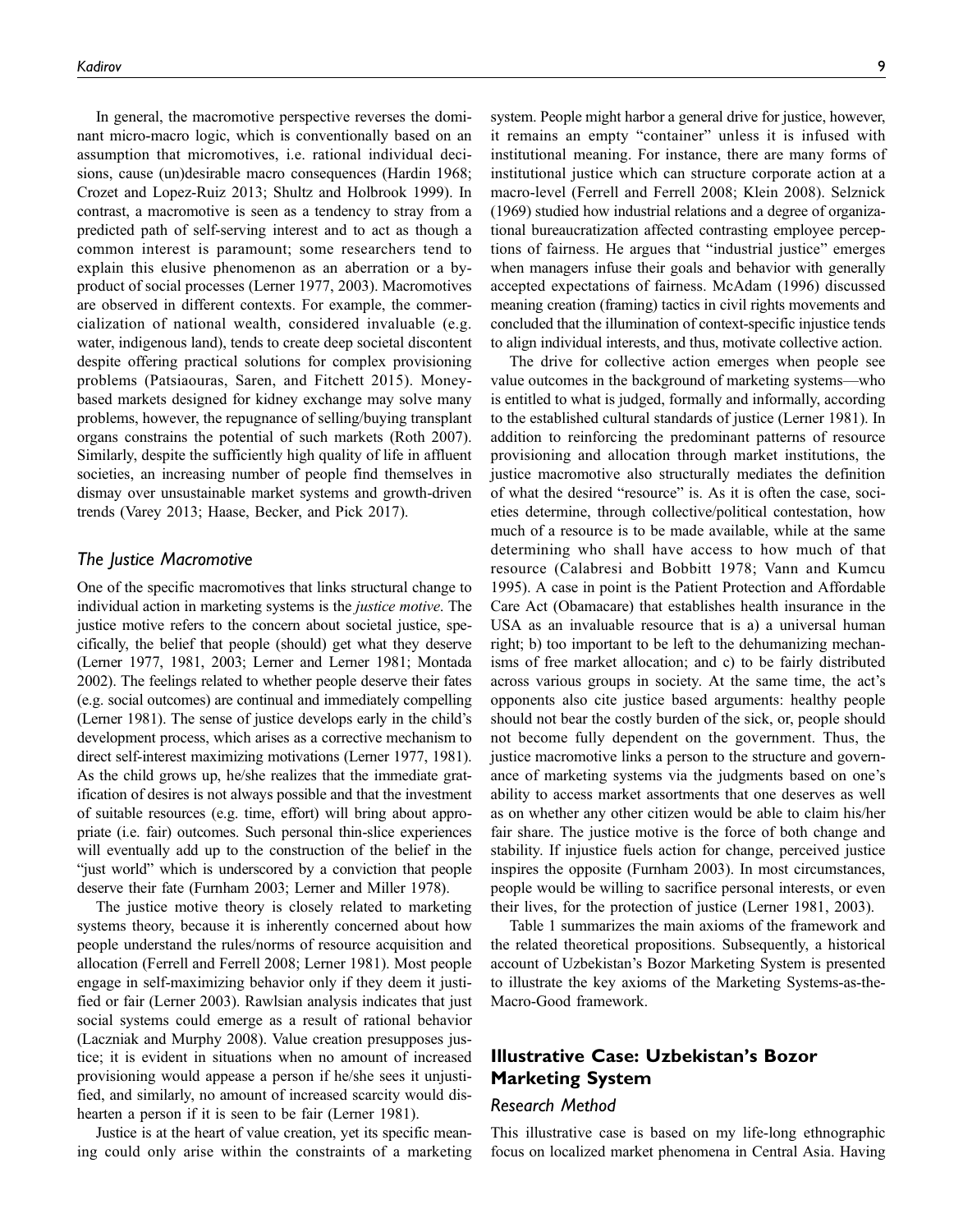In general, the macromotive perspective reverses the dominant micro-macro logic, which is conventionally based on an assumption that micromotives, i.e. rational individual decisions, cause (un)desirable macro consequences (Hardin 1968; Crozet and Lopez-Ruiz 2013; Shultz and Holbrook 1999). In contrast, a macromotive is seen as a tendency to stray from a predicted path of self-serving interest and to act as though a common interest is paramount; some researchers tend to explain this elusive phenomenon as an aberration or a byproduct of social processes (Lerner 1977, 2003). Macromotives are observed in different contexts. For example, the commercialization of national wealth, considered invaluable (e.g. water, indigenous land), tends to create deep societal discontent despite offering practical solutions for complex provisioning problems (Patsiaouras, Saren, and Fitchett 2015). Moneybased markets designed for kidney exchange may solve many problems, however, the repugnance of selling/buying transplant organs constrains the potential of such markets (Roth 2007). Similarly, despite the sufficiently high quality of life in affluent societies, an increasing number of people find themselves in dismay over unsustainable market systems and growth-driven trends (Varey 2013; Haase, Becker, and Pick 2017).

#### The Justice Macromotive

One of the specific macromotives that links structural change to individual action in marketing systems is the justice motive. The justice motive refers to the concern about societal justice, specifically, the belief that people (should) get what they deserve (Lerner 1977, 1981, 2003; Lerner and Lerner 1981; Montada 2002). The feelings related to whether people deserve their fates (e.g. social outcomes) are continual and immediately compelling (Lerner 1981). The sense of justice develops early in the child's development process, which arises as a corrective mechanism to direct self-interest maximizing motivations (Lerner 1977, 1981). As the child grows up, he/she realizes that the immediate gratification of desires is not always possible and that the investment of suitable resources (e.g. time, effort) will bring about appropriate (i.e. fair) outcomes. Such personal thin-slice experiences will eventually add up to the construction of the belief in the "just world" which is underscored by a conviction that people deserve their fate (Furnham 2003; Lerner and Miller 1978).

The justice motive theory is closely related to marketing systems theory, because it is inherently concerned about how people understand the rules/norms of resource acquisition and allocation (Ferrell and Ferrell 2008; Lerner 1981). Most people engage in self-maximizing behavior only if they deem it justified or fair (Lerner 2003). Rawlsian analysis indicates that just social systems could emerge as a result of rational behavior (Laczniak and Murphy 2008). Value creation presupposes justice; it is evident in situations when no amount of increased provisioning would appease a person if he/she sees it unjustified, and similarly, no amount of increased scarcity would dishearten a person if it is seen to be fair (Lerner 1981).

Justice is at the heart of value creation, yet its specific meaning could only arise within the constraints of a marketing system. People might harbor a general drive for justice, however, it remains an empty "container" unless it is infused with institutional meaning. For instance, there are many forms of institutional justice which can structure corporate action at a macro-level (Ferrell and Ferrell 2008; Klein 2008). Selznick (1969) studied how industrial relations and a degree of organizational bureaucratization affected contrasting employee perceptions of fairness. He argues that "industrial justice" emerges when managers infuse their goals and behavior with generally accepted expectations of fairness. McAdam (1996) discussed meaning creation (framing) tactics in civil rights movements and concluded that the illumination of context-specific injustice tends to align individual interests, and thus, motivate collective action.

The drive for collective action emerges when people see value outcomes in the background of marketing systems—who is entitled to what is judged, formally and informally, according to the established cultural standards of justice (Lerner 1981). In addition to reinforcing the predominant patterns of resource provisioning and allocation through market institutions, the justice macromotive also structurally mediates the definition of what the desired "resource" is. As it is often the case, societies determine, through collective/political contestation, how much of a resource is to be made available, while at the same determining who shall have access to how much of that resource (Calabresi and Bobbitt 1978; Vann and Kumcu 1995). A case in point is the Patient Protection and Affordable Care Act (Obamacare) that establishes health insurance in the USA as an invaluable resource that is a) a universal human right; b) too important to be left to the dehumanizing mechanisms of free market allocation; and c) to be fairly distributed across various groups in society. At the same time, the act's opponents also cite justice based arguments: healthy people should not bear the costly burden of the sick, or, people should not become fully dependent on the government. Thus, the justice macromotive links a person to the structure and governance of marketing systems via the judgments based on one's ability to access market assortments that one deserves as well as on whether any other citizen would be able to claim his/her fair share. The justice motive is the force of both change and stability. If injustice fuels action for change, perceived justice inspires the opposite (Furnham 2003). In most circumstances, people would be willing to sacrifice personal interests, or even their lives, for the protection of justice (Lerner 1981, 2003).

Table 1 summarizes the main axioms of the framework and the related theoretical propositions. Subsequently, a historical account of Uzbekistan's Bozor Marketing System is presented to illustrate the key axioms of the Marketing Systems-as-the-Macro-Good framework.

# Illustrative Case: Uzbekistan's Bozor Marketing System

### Research Method

This illustrative case is based on my life-long ethnographic focus on localized market phenomena in Central Asia. Having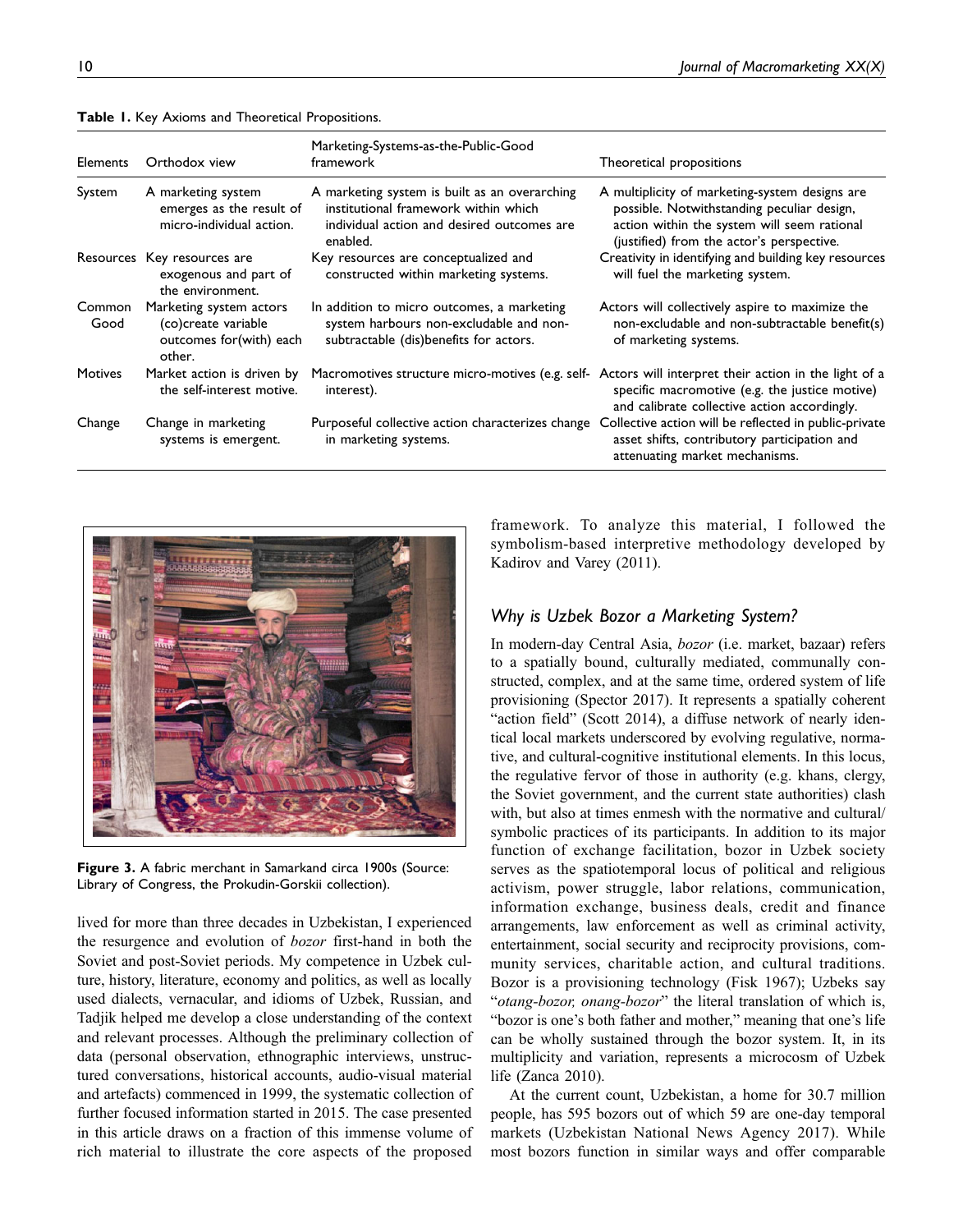| Elements       | Orthodox view                                                                       | Marketing-Systems-as-the-Public-Good<br>framework                                                                                               | Theoretical propositions                                                                                                                                                                   |
|----------------|-------------------------------------------------------------------------------------|-------------------------------------------------------------------------------------------------------------------------------------------------|--------------------------------------------------------------------------------------------------------------------------------------------------------------------------------------------|
| System         | A marketing system<br>emerges as the result of<br>micro-individual action.          | A marketing system is built as an overarching<br>institutional framework within which<br>individual action and desired outcomes are<br>enabled. | A multiplicity of marketing-system designs are<br>possible. Notwithstanding peculiar design,<br>action within the system will seem rational<br>(justified) from the actor's perspective.   |
|                | Resources Key resources are<br>exogenous and part of<br>the environment.            | Key resources are conceptualized and<br>constructed within marketing systems.                                                                   | Creativity in identifying and building key resources<br>will fuel the marketing system.                                                                                                    |
| Common<br>Good | Marketing system actors<br>(co)create variable<br>outcomes for(with) each<br>other. | In addition to micro outcomes, a marketing<br>system harbours non-excludable and non-<br>subtractable (dis)benefits for actors.                 | Actors will collectively aspire to maximize the<br>non-excludable and non-subtractable benefit(s)<br>of marketing systems.                                                                 |
| Motives        | Market action is driven by<br>the self-interest motive.                             | Macromotives structure micro-motives (e.g. self-<br>interest).                                                                                  | Actors will interpret their action in the light of a<br>specific macromotive (e.g. the justice motive)<br>and calibrate collective action accordingly.                                     |
| Change         | Change in marketing<br>systems is emergent.                                         | in marketing systems.                                                                                                                           | Purposeful collective action characterizes change  Collective action will be reflected in public-private<br>asset shifts, contributory participation and<br>attenuating market mechanisms. |

Table 1. Key Axioms and Theoretical Propositions.



Figure 3. A fabric merchant in Samarkand circa 1900s (Source: Library of Congress, the Prokudin-Gorskii collection).

lived for more than three decades in Uzbekistan, I experienced the resurgence and evolution of bozor first-hand in both the Soviet and post-Soviet periods. My competence in Uzbek culture, history, literature, economy and politics, as well as locally used dialects, vernacular, and idioms of Uzbek, Russian, and Tadjik helped me develop a close understanding of the context and relevant processes. Although the preliminary collection of data (personal observation, ethnographic interviews, unstructured conversations, historical accounts, audio-visual material and artefacts) commenced in 1999, the systematic collection of further focused information started in 2015. The case presented in this article draws on a fraction of this immense volume of rich material to illustrate the core aspects of the proposed

framework. To analyze this material, I followed the symbolism-based interpretive methodology developed by Kadirov and Varey (2011).

### Why is Uzbek Bozor a Marketing System?

In modern-day Central Asia, bozor (i.e. market, bazaar) refers to a spatially bound, culturally mediated, communally constructed, complex, and at the same time, ordered system of life provisioning (Spector 2017). It represents a spatially coherent "action field" (Scott 2014), a diffuse network of nearly identical local markets underscored by evolving regulative, normative, and cultural-cognitive institutional elements. In this locus, the regulative fervor of those in authority (e.g. khans, clergy, the Soviet government, and the current state authorities) clash with, but also at times enmesh with the normative and cultural/ symbolic practices of its participants. In addition to its major function of exchange facilitation, bozor in Uzbek society serves as the spatiotemporal locus of political and religious activism, power struggle, labor relations, communication, information exchange, business deals, credit and finance arrangements, law enforcement as well as criminal activity, entertainment, social security and reciprocity provisions, community services, charitable action, and cultural traditions. Bozor is a provisioning technology (Fisk 1967); Uzbeks say "otang-bozor, onang-bozor" the literal translation of which is, "bozor is one's both father and mother," meaning that one's life can be wholly sustained through the bozor system. It, in its multiplicity and variation, represents a microcosm of Uzbek life (Zanca 2010).

At the current count, Uzbekistan, a home for 30.7 million people, has 595 bozors out of which 59 are one-day temporal markets (Uzbekistan National News Agency 2017). While most bozors function in similar ways and offer comparable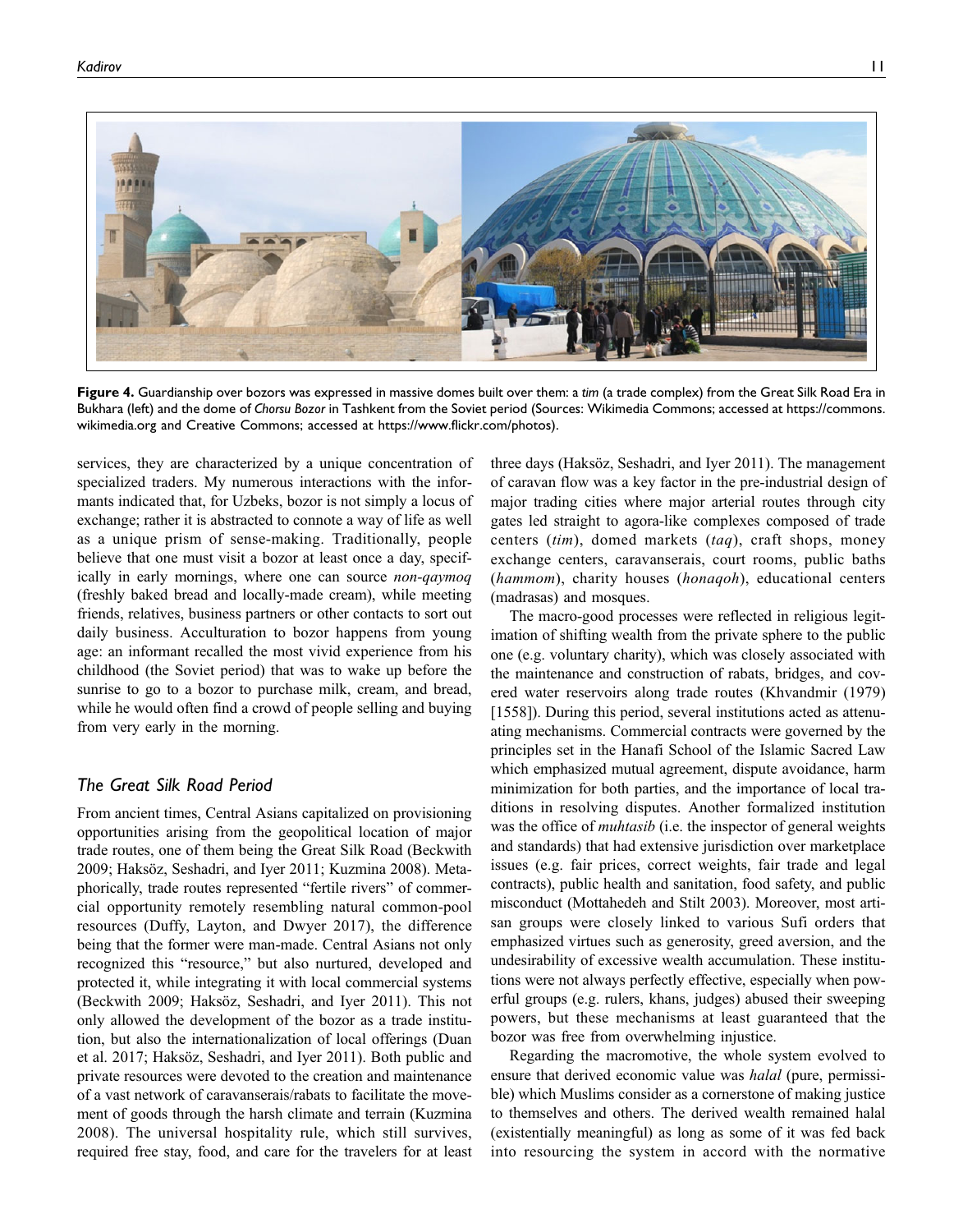

Figure 4. Guardianship over bozors was expressed in massive domes built over them: a tim (a trade complex) from the Great Silk Road Era in Bukhara (left) and the dome of Chorsu Bozor in Tashkent from the Soviet period (Sources: Wikimedia Commons; accessed at [https://commons.](https://commons.wikimedia.org) [wikimedia.org](https://commons.wikimedia.org) and Creative Commons; accessed at [https://www.flickr.com/photos\)](https://www.flickr.com/photos).

services, they are characterized by a unique concentration of specialized traders. My numerous interactions with the informants indicated that, for Uzbeks, bozor is not simply a locus of exchange; rather it is abstracted to connote a way of life as well as a unique prism of sense-making. Traditionally, people believe that one must visit a bozor at least once a day, specifically in early mornings, where one can source non-qaymoq (freshly baked bread and locally-made cream), while meeting friends, relatives, business partners or other contacts to sort out daily business. Acculturation to bozor happens from young age: an informant recalled the most vivid experience from his childhood (the Soviet period) that was to wake up before the sunrise to go to a bozor to purchase milk, cream, and bread, while he would often find a crowd of people selling and buying from very early in the morning.

### The Great Silk Road Period

From ancient times, Central Asians capitalized on provisioning opportunities arising from the geopolitical location of major trade routes, one of them being the Great Silk Road (Beckwith 2009; Haksöz, Seshadri, and Iyer 2011; Kuzmina 2008). Metaphorically, trade routes represented "fertile rivers" of commercial opportunity remotely resembling natural common-pool resources (Duffy, Layton, and Dwyer 2017), the difference being that the former were man-made. Central Asians not only recognized this "resource," but also nurtured, developed and protected it, while integrating it with local commercial systems (Beckwith 2009; Haksöz, Seshadri, and Iyer 2011). This not only allowed the development of the bozor as a trade institution, but also the internationalization of local offerings (Duan et al. 2017; Haksöz, Seshadri, and Iyer 2011). Both public and private resources were devoted to the creation and maintenance of a vast network of caravanserais/rabats to facilitate the movement of goods through the harsh climate and terrain (Kuzmina 2008). The universal hospitality rule, which still survives, required free stay, food, and care for the travelers for at least three days (Haksöz, Seshadri, and Iyer 2011). The management of caravan flow was a key factor in the pre-industrial design of major trading cities where major arterial routes through city gates led straight to agora-like complexes composed of trade centers *(tim)*, domed markets *(taq)*, craft shops, money exchange centers, caravanserais, court rooms, public baths (hammom), charity houses (honagoh), educational centers (madrasas) and mosques.

The macro-good processes were reflected in religious legitimation of shifting wealth from the private sphere to the public one (e.g. voluntary charity), which was closely associated with the maintenance and construction of rabats, bridges, and covered water reservoirs along trade routes (Khvandmir (1979) [1558]). During this period, several institutions acted as attenuating mechanisms. Commercial contracts were governed by the principles set in the Hanafi School of the Islamic Sacred Law which emphasized mutual agreement, dispute avoidance, harm minimization for both parties, and the importance of local traditions in resolving disputes. Another formalized institution was the office of *muhtasib* (i.e. the inspector of general weights and standards) that had extensive jurisdiction over marketplace issues (e.g. fair prices, correct weights, fair trade and legal contracts), public health and sanitation, food safety, and public misconduct (Mottahedeh and Stilt 2003). Moreover, most artisan groups were closely linked to various Sufi orders that emphasized virtues such as generosity, greed aversion, and the undesirability of excessive wealth accumulation. These institutions were not always perfectly effective, especially when powerful groups (e.g. rulers, khans, judges) abused their sweeping powers, but these mechanisms at least guaranteed that the bozor was free from overwhelming injustice.

Regarding the macromotive, the whole system evolved to ensure that derived economic value was *halal* (pure, permissible) which Muslims consider as a cornerstone of making justice to themselves and others. The derived wealth remained halal (existentially meaningful) as long as some of it was fed back into resourcing the system in accord with the normative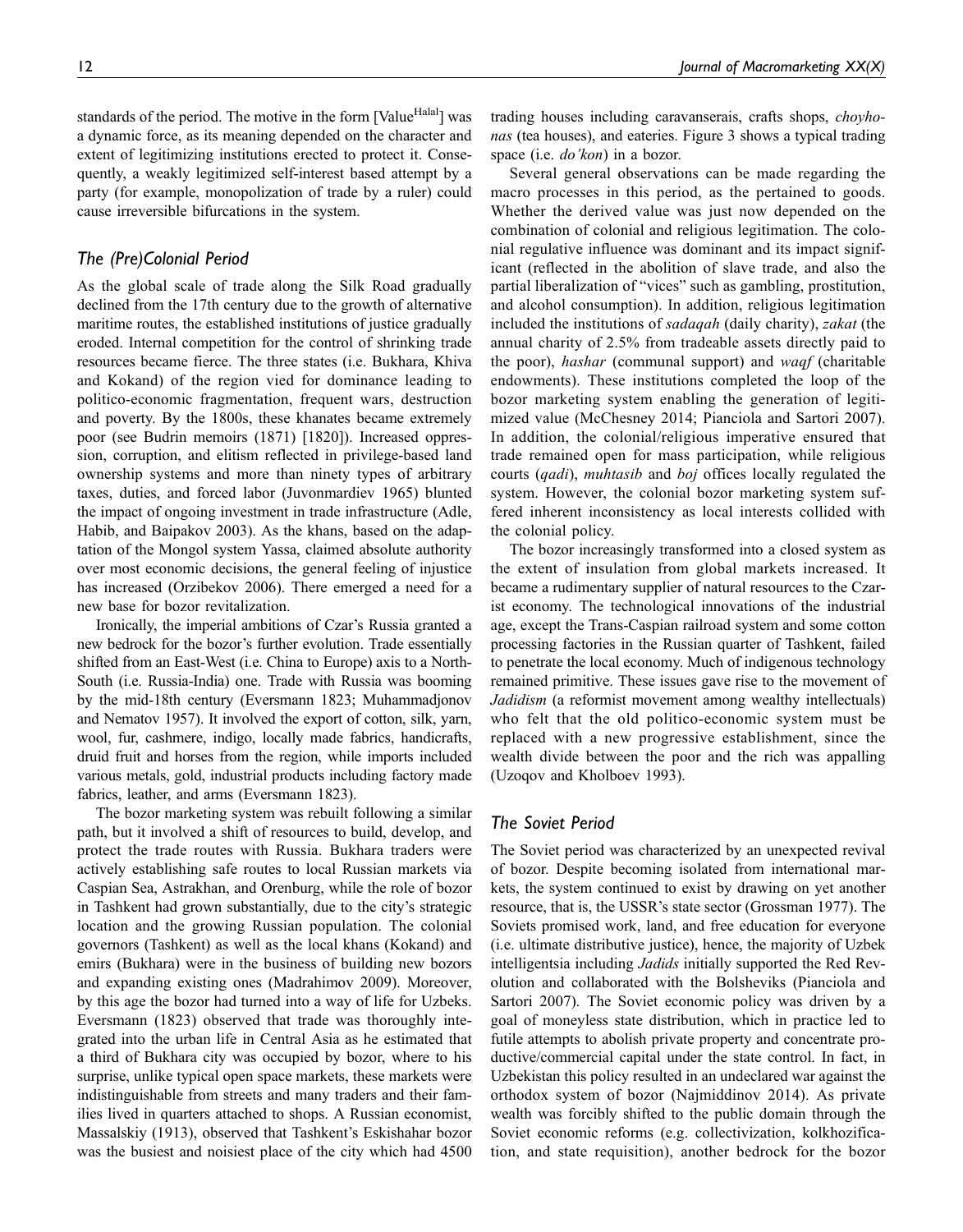standards of the period. The motive in the form [Value<sup>Halal</sup>] was a dynamic force, as its meaning depended on the character and extent of legitimizing institutions erected to protect it. Consequently, a weakly legitimized self-interest based attempt by a party (for example, monopolization of trade by a ruler) could cause irreversible bifurcations in the system.

### The (Pre)Colonial Period

As the global scale of trade along the Silk Road gradually declined from the 17th century due to the growth of alternative maritime routes, the established institutions of justice gradually eroded. Internal competition for the control of shrinking trade resources became fierce. The three states (i.e. Bukhara, Khiva and Kokand) of the region vied for dominance leading to politico-economic fragmentation, frequent wars, destruction and poverty. By the 1800s, these khanates became extremely poor (see Budrin memoirs (1871) [1820]). Increased oppression, corruption, and elitism reflected in privilege-based land ownership systems and more than ninety types of arbitrary taxes, duties, and forced labor (Juvonmardiev 1965) blunted the impact of ongoing investment in trade infrastructure (Adle, Habib, and Baipakov 2003). As the khans, based on the adaptation of the Mongol system Yassa, claimed absolute authority over most economic decisions, the general feeling of injustice has increased (Orzibekov 2006). There emerged a need for a new base for bozor revitalization.

Ironically, the imperial ambitions of Czar's Russia granted a new bedrock for the bozor's further evolution. Trade essentially shifted from an East-West (i.e. China to Europe) axis to a North-South (i.e. Russia-India) one. Trade with Russia was booming by the mid-18th century (Eversmann 1823; Muhammadjonov and Nematov 1957). It involved the export of cotton, silk, yarn, wool, fur, cashmere, indigo, locally made fabrics, handicrafts, druid fruit and horses from the region, while imports included various metals, gold, industrial products including factory made fabrics, leather, and arms (Eversmann 1823).

The bozor marketing system was rebuilt following a similar path, but it involved a shift of resources to build, develop, and protect the trade routes with Russia. Bukhara traders were actively establishing safe routes to local Russian markets via Caspian Sea, Astrakhan, and Orenburg, while the role of bozor in Tashkent had grown substantially, due to the city's strategic location and the growing Russian population. The colonial governors (Tashkent) as well as the local khans (Kokand) and emirs (Bukhara) were in the business of building new bozors and expanding existing ones (Madrahimov 2009). Moreover, by this age the bozor had turned into a way of life for Uzbeks. Eversmann (1823) observed that trade was thoroughly integrated into the urban life in Central Asia as he estimated that a third of Bukhara city was occupied by bozor, where to his surprise, unlike typical open space markets, these markets were indistinguishable from streets and many traders and their families lived in quarters attached to shops. A Russian economist, Massalskiy (1913), observed that Tashkent's Eskishahar bozor was the busiest and noisiest place of the city which had 4500 trading houses including caravanserais, crafts shops, choyhonas (tea houses), and eateries. Figure 3 shows a typical trading space (i.e. *do'kon*) in a bozor.

Several general observations can be made regarding the macro processes in this period, as the pertained to goods. Whether the derived value was just now depended on the combination of colonial and religious legitimation. The colonial regulative influence was dominant and its impact significant (reflected in the abolition of slave trade, and also the partial liberalization of "vices" such as gambling, prostitution, and alcohol consumption). In addition, religious legitimation included the institutions of sadaqah (daily charity), zakat (the annual charity of 2.5% from tradeable assets directly paid to the poor), hashar (communal support) and waqf (charitable endowments). These institutions completed the loop of the bozor marketing system enabling the generation of legitimized value (McChesney 2014; Pianciola and Sartori 2007). In addition, the colonial/religious imperative ensured that trade remained open for mass participation, while religious courts (qadi), muhtasib and boj offices locally regulated the system. However, the colonial bozor marketing system suffered inherent inconsistency as local interests collided with the colonial policy.

The bozor increasingly transformed into a closed system as the extent of insulation from global markets increased. It became a rudimentary supplier of natural resources to the Czarist economy. The technological innovations of the industrial age, except the Trans-Caspian railroad system and some cotton processing factories in the Russian quarter of Tashkent, failed to penetrate the local economy. Much of indigenous technology remained primitive. These issues gave rise to the movement of Jadidism (a reformist movement among wealthy intellectuals) who felt that the old politico-economic system must be replaced with a new progressive establishment, since the wealth divide between the poor and the rich was appalling (Uzoqov and Kholboev 1993).

#### The Soviet Period

The Soviet period was characterized by an unexpected revival of bozor. Despite becoming isolated from international markets, the system continued to exist by drawing on yet another resource, that is, the USSR's state sector (Grossman 1977). The Soviets promised work, land, and free education for everyone (i.e. ultimate distributive justice), hence, the majority of Uzbek intelligentsia including *Jadids* initially supported the Red Revolution and collaborated with the Bolsheviks (Pianciola and Sartori 2007). The Soviet economic policy was driven by a goal of moneyless state distribution, which in practice led to futile attempts to abolish private property and concentrate productive/commercial capital under the state control. In fact, in Uzbekistan this policy resulted in an undeclared war against the orthodox system of bozor (Najmiddinov 2014). As private wealth was forcibly shifted to the public domain through the Soviet economic reforms (e.g. collectivization, kolkhozification, and state requisition), another bedrock for the bozor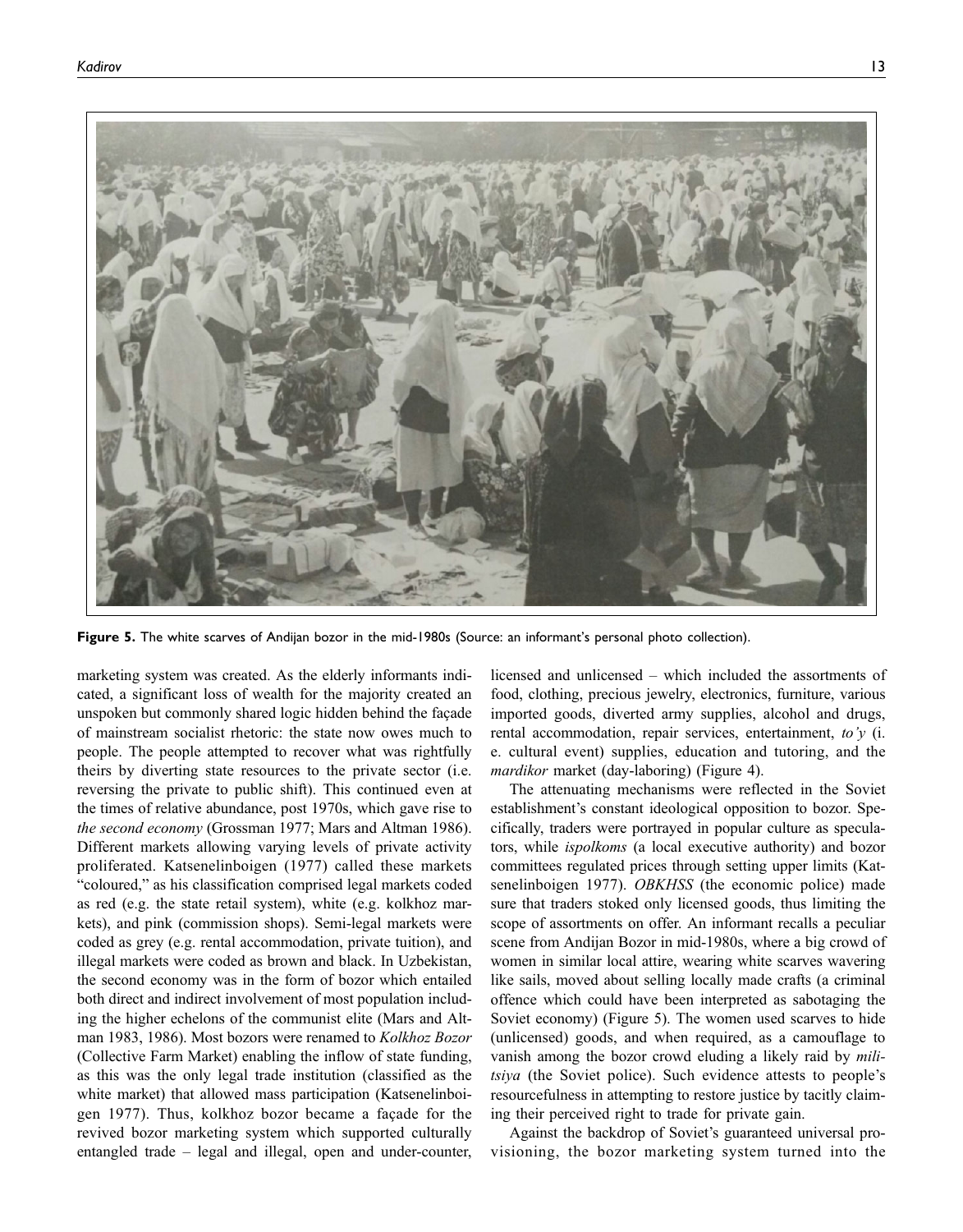

Figure 5. The white scarves of Andijan bozor in the mid-1980s (Source: an informant's personal photo collection).

marketing system was created. As the elderly informants indicated, a significant loss of wealth for the majority created an unspoken but commonly shared logic hidden behind the façade of mainstream socialist rhetoric: the state now owes much to people. The people attempted to recover what was rightfully theirs by diverting state resources to the private sector (i.e. reversing the private to public shift). This continued even at the times of relative abundance, post 1970s, which gave rise to the second economy (Grossman 1977; Mars and Altman 1986). Different markets allowing varying levels of private activity proliferated. Katsenelinboigen (1977) called these markets "coloured," as his classification comprised legal markets coded as red (e.g. the state retail system), white (e.g. kolkhoz markets), and pink (commission shops). Semi-legal markets were coded as grey (e.g. rental accommodation, private tuition), and illegal markets were coded as brown and black. In Uzbekistan, the second economy was in the form of bozor which entailed both direct and indirect involvement of most population including the higher echelons of the communist elite (Mars and Altman 1983, 1986). Most bozors were renamed to Kolkhoz Bozor (Collective Farm Market) enabling the inflow of state funding, as this was the only legal trade institution (classified as the white market) that allowed mass participation (Katsenelinboigen 1977). Thus, kolkhoz bozor became a façade for the revived bozor marketing system which supported culturally entangled trade – legal and illegal, open and under-counter, licensed and unlicensed – which included the assortments of food, clothing, precious jewelry, electronics, furniture, various imported goods, diverted army supplies, alcohol and drugs, rental accommodation, repair services, entertainment, to'y (i. e. cultural event) supplies, education and tutoring, and the mardikor market (day-laboring) (Figure 4).

The attenuating mechanisms were reflected in the Soviet establishment's constant ideological opposition to bozor. Specifically, traders were portrayed in popular culture as speculators, while ispolkoms (a local executive authority) and bozor committees regulated prices through setting upper limits (Katsenelinboigen 1977). *OBKHSS* (the economic police) made sure that traders stoked only licensed goods, thus limiting the scope of assortments on offer. An informant recalls a peculiar scene from Andijan Bozor in mid-1980s, where a big crowd of women in similar local attire, wearing white scarves wavering like sails, moved about selling locally made crafts (a criminal offence which could have been interpreted as sabotaging the Soviet economy) (Figure 5). The women used scarves to hide (unlicensed) goods, and when required, as a camouflage to vanish among the bozor crowd eluding a likely raid by militsiya (the Soviet police). Such evidence attests to people's resourcefulness in attempting to restore justice by tacitly claiming their perceived right to trade for private gain.

Against the backdrop of Soviet's guaranteed universal provisioning, the bozor marketing system turned into the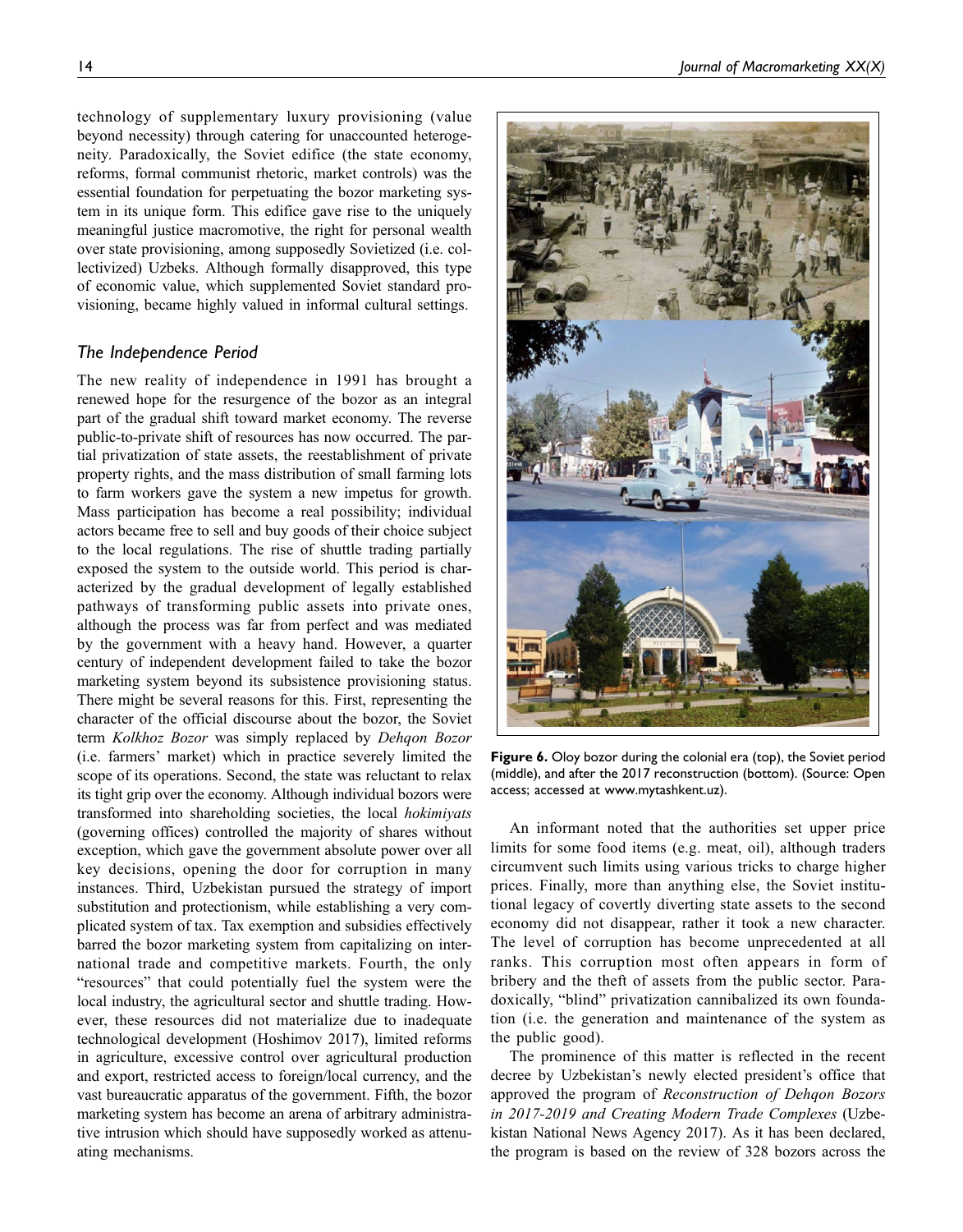technology of supplementary luxury provisioning (value beyond necessity) through catering for unaccounted heterogeneity. Paradoxically, the Soviet edifice (the state economy, reforms, formal communist rhetoric, market controls) was the essential foundation for perpetuating the bozor marketing system in its unique form. This edifice gave rise to the uniquely meaningful justice macromotive, the right for personal wealth over state provisioning, among supposedly Sovietized (i.e. collectivized) Uzbeks. Although formally disapproved, this type of economic value, which supplemented Soviet standard provisioning, became highly valued in informal cultural settings.

### The Independence Period

The new reality of independence in 1991 has brought a renewed hope for the resurgence of the bozor as an integral part of the gradual shift toward market economy. The reverse public-to-private shift of resources has now occurred. The partial privatization of state assets, the reestablishment of private property rights, and the mass distribution of small farming lots to farm workers gave the system a new impetus for growth. Mass participation has become a real possibility; individual actors became free to sell and buy goods of their choice subject to the local regulations. The rise of shuttle trading partially exposed the system to the outside world. This period is characterized by the gradual development of legally established pathways of transforming public assets into private ones, although the process was far from perfect and was mediated by the government with a heavy hand. However, a quarter century of independent development failed to take the bozor marketing system beyond its subsistence provisioning status. There might be several reasons for this. First, representing the character of the official discourse about the bozor, the Soviet term Kolkhoz Bozor was simply replaced by Dehqon Bozor (i.e. farmers' market) which in practice severely limited the scope of its operations. Second, the state was reluctant to relax its tight grip over the economy. Although individual bozors were transformed into shareholding societies, the local hokimiyats (governing offices) controlled the majority of shares without exception, which gave the government absolute power over all key decisions, opening the door for corruption in many instances. Third, Uzbekistan pursued the strategy of import substitution and protectionism, while establishing a very complicated system of tax. Tax exemption and subsidies effectively barred the bozor marketing system from capitalizing on international trade and competitive markets. Fourth, the only "resources" that could potentially fuel the system were the local industry, the agricultural sector and shuttle trading. However, these resources did not materialize due to inadequate technological development (Hoshimov 2017), limited reforms in agriculture, excessive control over agricultural production and export, restricted access to foreign/local currency, and the vast bureaucratic apparatus of the government. Fifth, the bozor marketing system has become an arena of arbitrary administrative intrusion which should have supposedly worked as attenuating mechanisms.



Figure 6. Oloy bozor during the colonial era (top), the Soviet period (middle), and after the 2017 reconstruction (bottom). (Source: Open access; accessed at [www.mytashkent.uz\)](http://www.mytashkent.uz).

An informant noted that the authorities set upper price limits for some food items (e.g. meat, oil), although traders circumvent such limits using various tricks to charge higher prices. Finally, more than anything else, the Soviet institutional legacy of covertly diverting state assets to the second economy did not disappear, rather it took a new character. The level of corruption has become unprecedented at all ranks. This corruption most often appears in form of bribery and the theft of assets from the public sector. Paradoxically, "blind" privatization cannibalized its own foundation (i.e. the generation and maintenance of the system as the public good).

The prominence of this matter is reflected in the recent decree by Uzbekistan's newly elected president's office that approved the program of Reconstruction of Dehqon Bozors in 2017-2019 and Creating Modern Trade Complexes (Uzbekistan National News Agency 2017). As it has been declared, the program is based on the review of 328 bozors across the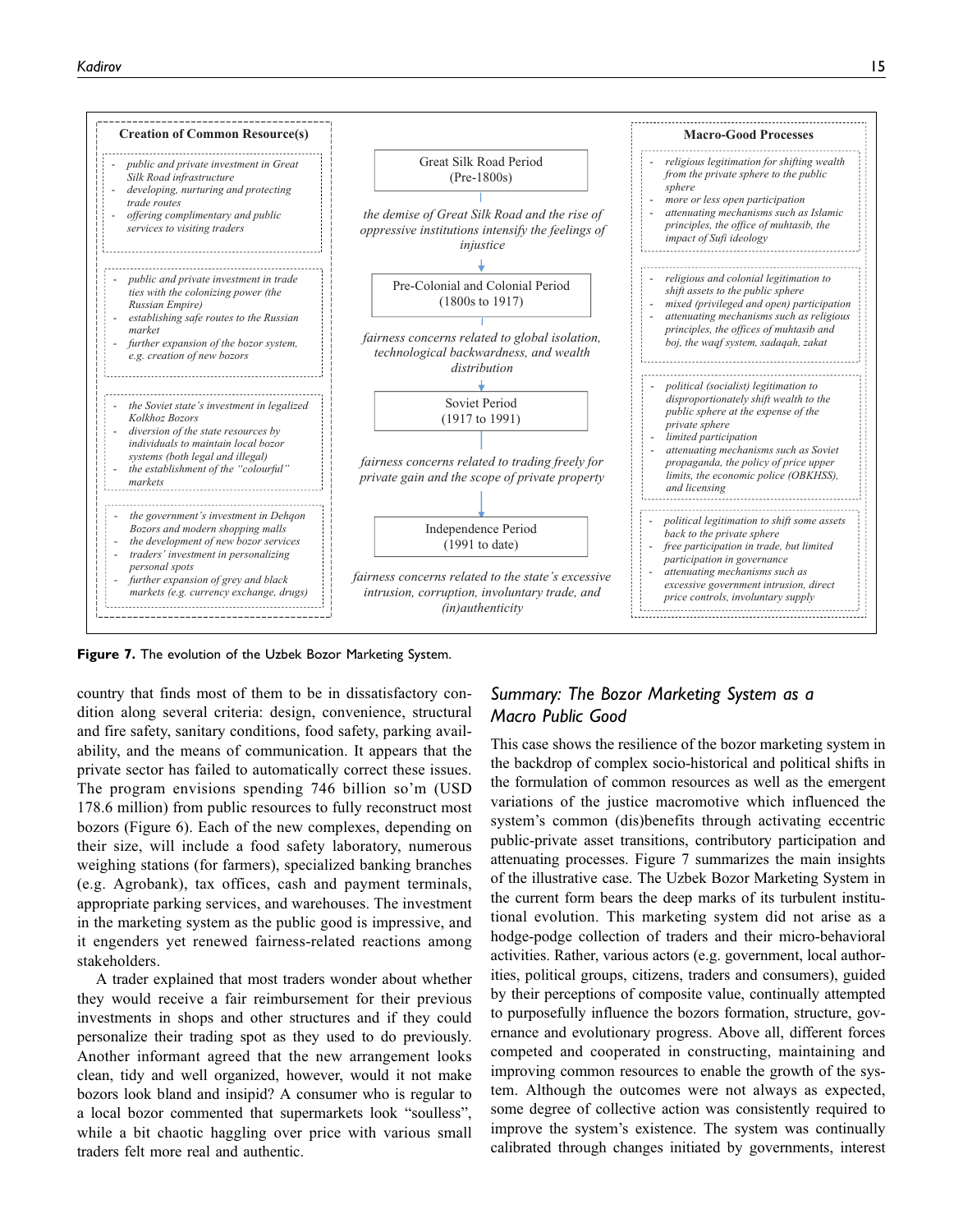

Figure 7. The evolution of the Uzbek Bozor Marketing System.

country that finds most of them to be in dissatisfactory condition along several criteria: design, convenience, structural and fire safety, sanitary conditions, food safety, parking availability, and the means of communication. It appears that the private sector has failed to automatically correct these issues. The program envisions spending 746 billion so'm (USD 178.6 million) from public resources to fully reconstruct most bozors (Figure 6). Each of the new complexes, depending on their size, will include a food safety laboratory, numerous weighing stations (for farmers), specialized banking branches (e.g. Agrobank), tax offices, cash and payment terminals, appropriate parking services, and warehouses. The investment in the marketing system as the public good is impressive, and it engenders yet renewed fairness-related reactions among stakeholders.

A trader explained that most traders wonder about whether they would receive a fair reimbursement for their previous investments in shops and other structures and if they could personalize their trading spot as they used to do previously. Another informant agreed that the new arrangement looks clean, tidy and well organized, however, would it not make bozors look bland and insipid? A consumer who is regular to a local bozor commented that supermarkets look "soulless", while a bit chaotic haggling over price with various small traders felt more real and authentic.

### Summary: The Bozor Marketing System as a Macro Public Good

This case shows the resilience of the bozor marketing system in the backdrop of complex socio-historical and political shifts in the formulation of common resources as well as the emergent variations of the justice macromotive which influenced the system's common (dis)benefits through activating eccentric public-private asset transitions, contributory participation and attenuating processes. Figure 7 summarizes the main insights of the illustrative case. The Uzbek Bozor Marketing System in the current form bears the deep marks of its turbulent institutional evolution. This marketing system did not arise as a hodge-podge collection of traders and their micro-behavioral activities. Rather, various actors (e.g. government, local authorities, political groups, citizens, traders and consumers), guided by their perceptions of composite value, continually attempted to purposefully influence the bozors formation, structure, governance and evolutionary progress. Above all, different forces competed and cooperated in constructing, maintaining and improving common resources to enable the growth of the system. Although the outcomes were not always as expected, some degree of collective action was consistently required to improve the system's existence. The system was continually calibrated through changes initiated by governments, interest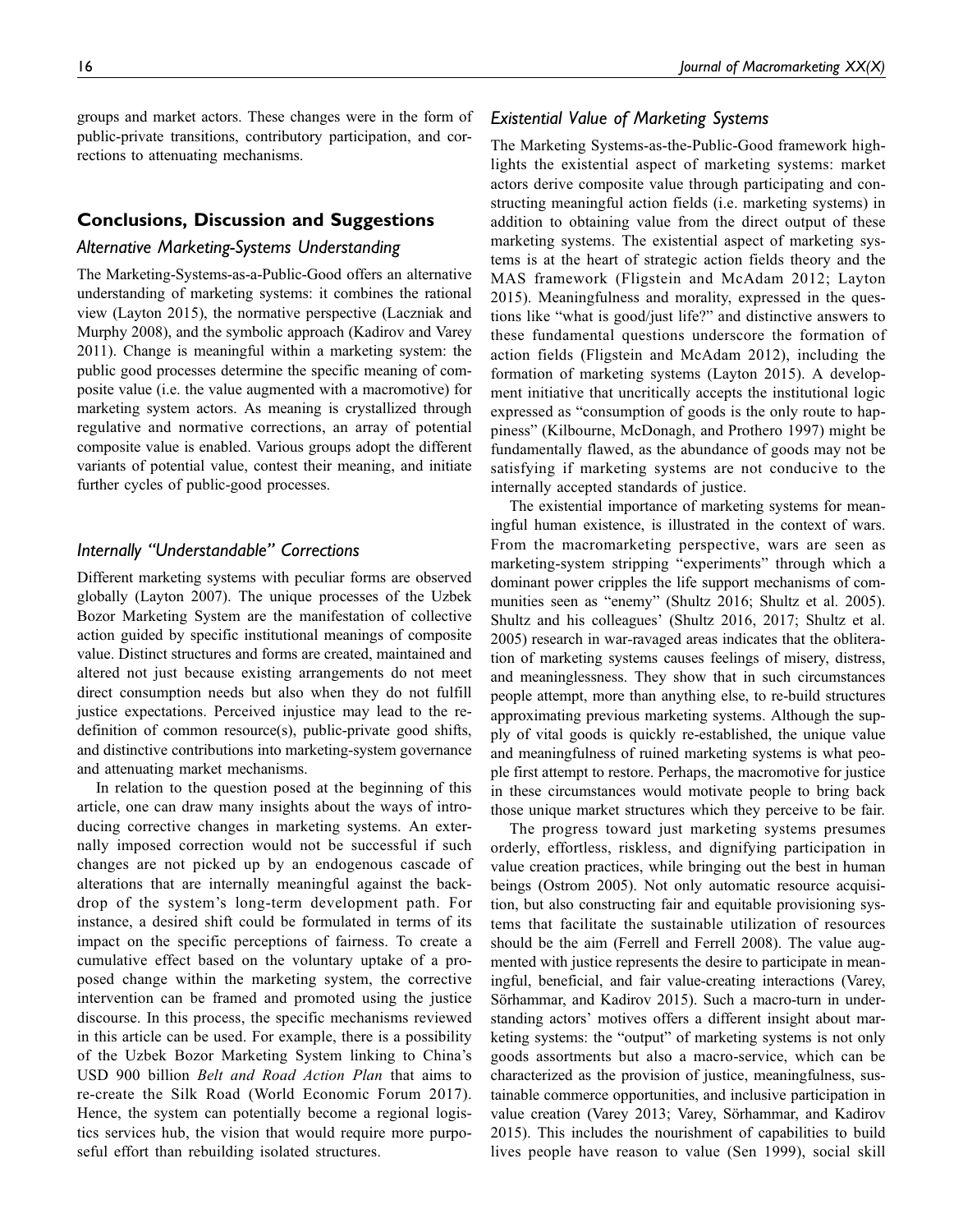groups and market actors. These changes were in the form of public-private transitions, contributory participation, and corrections to attenuating mechanisms.

### Conclusions, Discussion and Suggestions

### Alternative Marketing-Systems Understanding

The Marketing-Systems-as-a-Public-Good offers an alternative understanding of marketing systems: it combines the rational view (Layton 2015), the normative perspective (Laczniak and Murphy 2008), and the symbolic approach (Kadirov and Varey 2011). Change is meaningful within a marketing system: the public good processes determine the specific meaning of composite value (i.e. the value augmented with a macromotive) for marketing system actors. As meaning is crystallized through regulative and normative corrections, an array of potential composite value is enabled. Various groups adopt the different variants of potential value, contest their meaning, and initiate further cycles of public-good processes.

# Internally "Understandable" Corrections

Different marketing systems with peculiar forms are observed globally (Layton 2007). The unique processes of the Uzbek Bozor Marketing System are the manifestation of collective action guided by specific institutional meanings of composite value. Distinct structures and forms are created, maintained and altered not just because existing arrangements do not meet direct consumption needs but also when they do not fulfill justice expectations. Perceived injustice may lead to the redefinition of common resource(s), public-private good shifts, and distinctive contributions into marketing-system governance and attenuating market mechanisms.

In relation to the question posed at the beginning of this article, one can draw many insights about the ways of introducing corrective changes in marketing systems. An externally imposed correction would not be successful if such changes are not picked up by an endogenous cascade of alterations that are internally meaningful against the backdrop of the system's long-term development path. For instance, a desired shift could be formulated in terms of its impact on the specific perceptions of fairness. To create a cumulative effect based on the voluntary uptake of a proposed change within the marketing system, the corrective intervention can be framed and promoted using the justice discourse. In this process, the specific mechanisms reviewed in this article can be used. For example, there is a possibility of the Uzbek Bozor Marketing System linking to China's USD 900 billion Belt and Road Action Plan that aims to re-create the Silk Road (World Economic Forum 2017). Hence, the system can potentially become a regional logistics services hub, the vision that would require more purposeful effort than rebuilding isolated structures.

### Existential Value of Marketing Systems

The Marketing Systems-as-the-Public-Good framework highlights the existential aspect of marketing systems: market actors derive composite value through participating and constructing meaningful action fields (i.e. marketing systems) in addition to obtaining value from the direct output of these marketing systems. The existential aspect of marketing systems is at the heart of strategic action fields theory and the MAS framework (Fligstein and McAdam 2012; Layton 2015). Meaningfulness and morality, expressed in the questions like "what is good/just life?" and distinctive answers to these fundamental questions underscore the formation of action fields (Fligstein and McAdam 2012), including the formation of marketing systems (Layton 2015). A development initiative that uncritically accepts the institutional logic expressed as "consumption of goods is the only route to happiness" (Kilbourne, McDonagh, and Prothero 1997) might be fundamentally flawed, as the abundance of goods may not be satisfying if marketing systems are not conducive to the internally accepted standards of justice.

The existential importance of marketing systems for meaningful human existence, is illustrated in the context of wars. From the macromarketing perspective, wars are seen as marketing-system stripping "experiments" through which a dominant power cripples the life support mechanisms of communities seen as "enemy" (Shultz 2016; Shultz et al. 2005). Shultz and his colleagues' (Shultz 2016, 2017; Shultz et al. 2005) research in war-ravaged areas indicates that the obliteration of marketing systems causes feelings of misery, distress, and meaninglessness. They show that in such circumstances people attempt, more than anything else, to re-build structures approximating previous marketing systems. Although the supply of vital goods is quickly re-established, the unique value and meaningfulness of ruined marketing systems is what people first attempt to restore. Perhaps, the macromotive for justice in these circumstances would motivate people to bring back those unique market structures which they perceive to be fair.

The progress toward just marketing systems presumes orderly, effortless, riskless, and dignifying participation in value creation practices, while bringing out the best in human beings (Ostrom 2005). Not only automatic resource acquisition, but also constructing fair and equitable provisioning systems that facilitate the sustainable utilization of resources should be the aim (Ferrell and Ferrell 2008). The value augmented with justice represents the desire to participate in meaningful, beneficial, and fair value-creating interactions (Varey, Sörhammar, and Kadirov 2015). Such a macro-turn in understanding actors' motives offers a different insight about marketing systems: the "output" of marketing systems is not only goods assortments but also a macro-service, which can be characterized as the provision of justice, meaningfulness, sustainable commerce opportunities, and inclusive participation in value creation (Varey 2013; Varey, Sörhammar, and Kadirov 2015). This includes the nourishment of capabilities to build lives people have reason to value (Sen 1999), social skill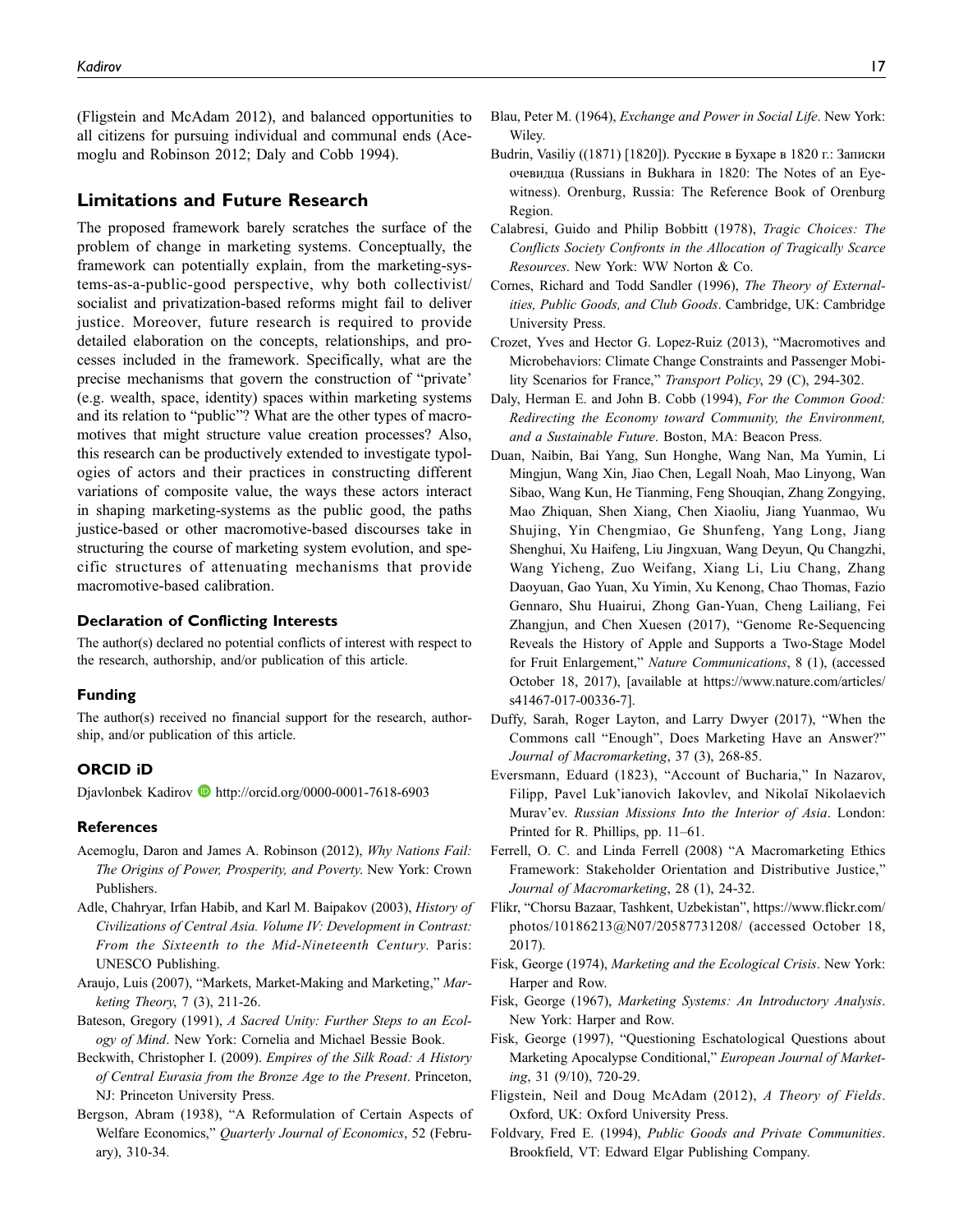(Fligstein and McAdam 2012), and balanced opportunities to all citizens for pursuing individual and communal ends (Acemoglu and Robinson 2012; Daly and Cobb 1994).

### Limitations and Future Research

The proposed framework barely scratches the surface of the problem of change in marketing systems. Conceptually, the framework can potentially explain, from the marketing-systems-as-a-public-good perspective, why both collectivist/ socialist and privatization-based reforms might fail to deliver justice. Moreover, future research is required to provide detailed elaboration on the concepts, relationships, and processes included in the framework. Specifically, what are the precise mechanisms that govern the construction of "private' (e.g. wealth, space, identity) spaces within marketing systems and its relation to "public"? What are the other types of macromotives that might structure value creation processes? Also, this research can be productively extended to investigate typologies of actors and their practices in constructing different variations of composite value, the ways these actors interact in shaping marketing-systems as the public good, the paths justice-based or other macromotive-based discourses take in structuring the course of marketing system evolution, and specific structures of attenuating mechanisms that provide macromotive-based calibration.

### Declaration of Conflicting Interests

The author(s) declared no potential conflicts of interest with respect to the research, authorship, and/or publication of this article.

#### Funding

The author(s) received no financial support for the research, authorship, and/or publication of this article.

#### ORCID iD

Djavlonbek Kadirov  $\bullet$  <http://orcid.org/0000-0001-7618-6903>

#### **References**

- Acemoglu, Daron and James A. Robinson (2012), Why Nations Fail: The Origins of Power, Prosperity, and Poverty. New York: Crown Publishers.
- Adle, Chahryar, Irfan Habib, and Karl M. Baipakov (2003), History of Civilizations of Central Asia. Volume IV: Development in Contrast: From the Sixteenth to the Mid-Nineteenth Century. Paris: UNESCO Publishing.
- Araujo, Luis (2007), "Markets, Market-Making and Marketing," Marketing Theory, 7 (3), 211-26.
- Bateson, Gregory (1991), A Sacred Unity: Further Steps to an Ecology of Mind. New York: Cornelia and Michael Bessie Book.
- Beckwith, Christopher I. (2009). Empires of the Silk Road: A History of Central Eurasia from the Bronze Age to the Present. Princeton, NJ: Princeton University Press.
- Bergson, Abram (1938), "A Reformulation of Certain Aspects of Welfare Economics," Quarterly Journal of Economics, 52 (February), 310-34.
- Blau, Peter M. (1964), Exchange and Power in Social Life. New York: Wiley.
- Budrin, Vasiliy ((1871) [1820]). Русские в Бухаре в 1820 г.: Записки очевидца (Russians in Bukhara in 1820: The Notes of an Eyewitness). Orenburg, Russia: The Reference Book of Orenburg Region.
- Calabresi, Guido and Philip Bobbitt (1978), Tragic Choices: The Conflicts Society Confronts in the Allocation of Tragically Scarce Resources. New York: WW Norton & Co.
- Cornes, Richard and Todd Sandler (1996), The Theory of Externalities, Public Goods, and Club Goods. Cambridge, UK: Cambridge University Press.
- Crozet, Yves and Hector G. Lopez-Ruiz (2013), "Macromotives and Microbehaviors: Climate Change Constraints and Passenger Mobility Scenarios for France," *Transport Policy*, 29 (C), 294-302.
- Daly, Herman E. and John B. Cobb (1994), For the Common Good: Redirecting the Economy toward Community, the Environment, and a Sustainable Future. Boston, MA: Beacon Press.
- Duan, Naibin, Bai Yang, Sun Honghe, Wang Nan, Ma Yumin, Li Mingjun, Wang Xin, Jiao Chen, Legall Noah, Mao Linyong, Wan Sibao, Wang Kun, He Tianming, Feng Shouqian, Zhang Zongying, Mao Zhiquan, Shen Xiang, Chen Xiaoliu, Jiang Yuanmao, Wu Shujing, Yin Chengmiao, Ge Shunfeng, Yang Long, Jiang Shenghui, Xu Haifeng, Liu Jingxuan, Wang Deyun, Qu Changzhi, Wang Yicheng, Zuo Weifang, Xiang Li, Liu Chang, Zhang Daoyuan, Gao Yuan, Xu Yimin, Xu Kenong, Chao Thomas, Fazio Gennaro, Shu Huairui, Zhong Gan-Yuan, Cheng Lailiang, Fei Zhangjun, and Chen Xuesen (2017), "Genome Re-Sequencing Reveals the History of Apple and Supports a Two-Stage Model for Fruit Enlargement," Nature Communications, 8 (1), (accessed October 18, 2017), [available at [https://www.nature.com/articles/](https://www.nature.com/articles/s41467-017-00336-7) [s41467-017-00336-7\]](https://www.nature.com/articles/s41467-017-00336-7).
- Duffy, Sarah, Roger Layton, and Larry Dwyer (2017), "When the Commons call "Enough", Does Marketing Have an Answer?" Journal of Macromarketing, 37 (3), 268-85.
- Eversmann, Eduard (1823), "Account of Bucharia," In Nazarov, Filipp, Pavel Luk'ianovich Iakovlev, and Nikolaĭ Nikolaevich Murav'ev. Russian Missions Into the Interior of Asia. London: Printed for R. Phillips, pp. 11–61.
- Ferrell, O. C. and Linda Ferrell (2008) "A Macromarketing Ethics Framework: Stakeholder Orientation and Distributive Justice," Journal of Macromarketing, 28 (1), 24-32.
- Flikr, "Chorsu Bazaar, Tashkent, Uzbekistan", [https://www.flickr.com/](https://www.flickr.com/photos/10186213@N07/20587731208/) [photos/10186213@N07/20587731208/](https://www.flickr.com/photos/10186213@N07/20587731208/) (accessed October 18, 2017).
- Fisk, George (1974), Marketing and the Ecological Crisis. New York: Harper and Row.
- Fisk, George (1967), Marketing Systems: An Introductory Analysis. New York: Harper and Row.
- Fisk, George (1997), "Questioning Eschatological Questions about Marketing Apocalypse Conditional," European Journal of Marketing, 31 (9/10), 720-29.
- Fligstein, Neil and Doug McAdam (2012), A Theory of Fields. Oxford, UK: Oxford University Press.
- Foldvary, Fred E. (1994), Public Goods and Private Communities. Brookfield, VT: Edward Elgar Publishing Company.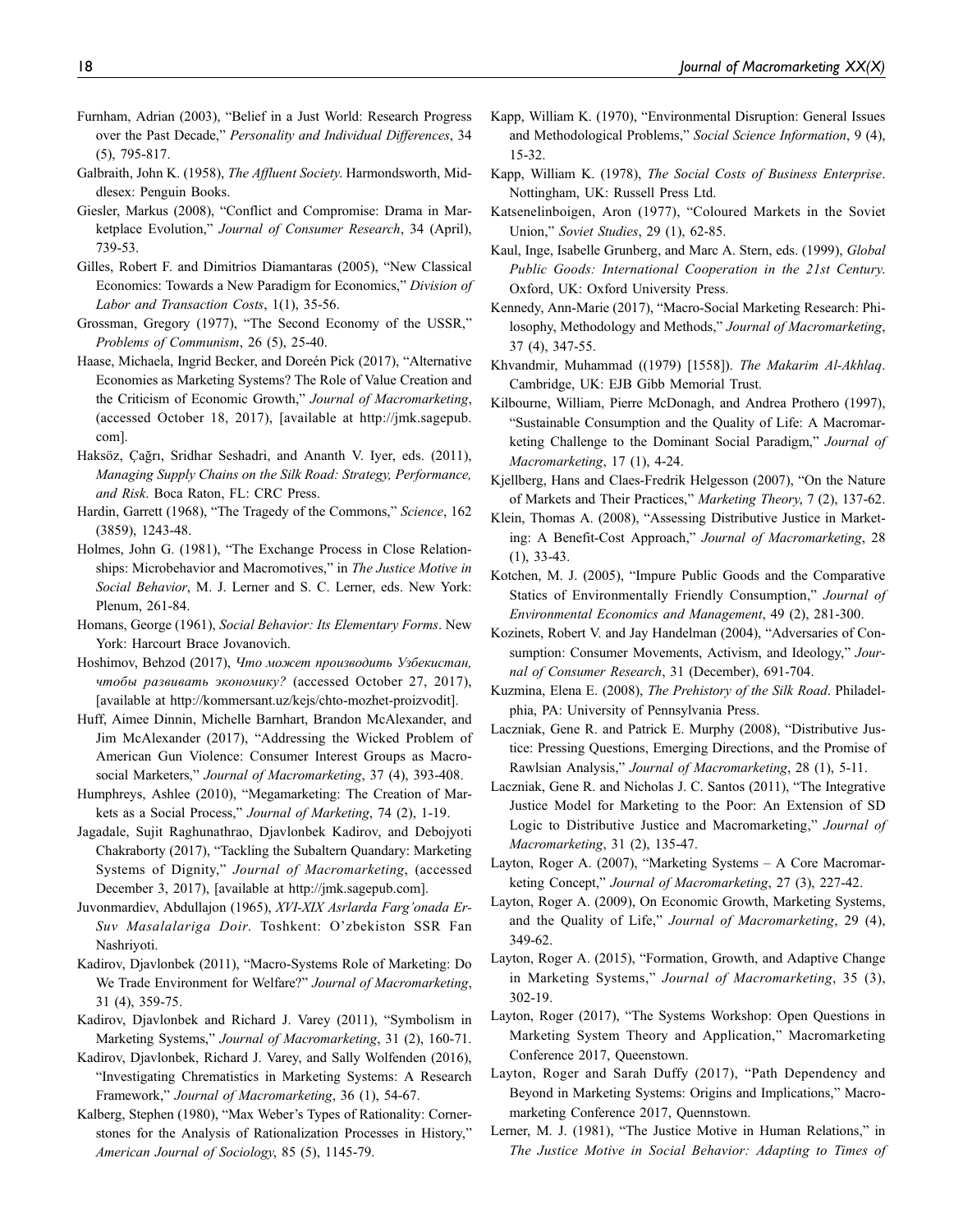- Furnham, Adrian (2003), "Belief in a Just World: Research Progress over the Past Decade," Personality and Individual Differences, 34 (5), 795-817.
- Galbraith, John K. (1958), The Affluent Society. Harmondsworth, Middlesex: Penguin Books.
- Giesler, Markus (2008), "Conflict and Compromise: Drama in Marketplace Evolution," Journal of Consumer Research, 34 (April), 739-53.
- Gilles, Robert F. and Dimitrios Diamantaras (2005), "New Classical Economics: Towards a New Paradigm for Economics," Division of Labor and Transaction Costs, 1(1), 35-56.
- Grossman, Gregory (1977), "The Second Economy of the USSR," Problems of Communism, 26 (5), 25-40.
- Haase, Michaela, Ingrid Becker, and Doreén Pick (2017), "Alternative Economies as Marketing Systems? The Role of Value Creation and the Criticism of Economic Growth," Journal of Macromarketing, (accessed October 18, 2017), [available at [http://jmk.sagepub.](http://jmk.sagepub.com) [com](http://jmk.sagepub.com)].
- Haksöz, Çağrı, Sridhar Seshadri, and Ananth V. Iyer, eds. (2011), Managing Supply Chains on the Silk Road: Strategy, Performance, and Risk. Boca Raton, FL: CRC Press.
- Hardin, Garrett (1968), "The Tragedy of the Commons," Science, 162 (3859), 1243-48.
- Holmes, John G. (1981), "The Exchange Process in Close Relationships: Microbehavior and Macromotives," in The Justice Motive in Social Behavior, M. J. Lerner and S. C. Lerner, eds. New York: Plenum, 261-84.
- Homans, George (1961), Social Behavior: Its Elementary Forms. New York: Harcourt Brace Jovanovich.

Hoshimov, Behzod (2017), Что может производить Узбекистан, чтобы развивать экономику? (accessed October 27, 2017), [available at [http://kommersant.uz/kejs/chto-mozhet-proizvodit\]](http://kommersant.uz/kejs/chto-mozhet-proizvodit).

- Huff, Aimee Dinnin, Michelle Barnhart, Brandon McAlexander, and Jim McAlexander (2017), "Addressing the Wicked Problem of American Gun Violence: Consumer Interest Groups as Macrosocial Marketers," Journal of Macromarketing, 37 (4), 393-408.
- Humphreys, Ashlee (2010), "Megamarketing: The Creation of Markets as a Social Process," Journal of Marketing, 74 (2), 1-19.
- Jagadale, Sujit Raghunathrao, Djavlonbek Kadirov, and Debojyoti Chakraborty (2017), "Tackling the Subaltern Quandary: Marketing Systems of Dignity," Journal of Macromarketing, (accessed December 3, 2017), [available at [http://jmk.sagepub.com\]](http://jmk.sagepub.com).
- Juvonmardiev, Abdullajon (1965), XVI-XIX Asrlarda Farg'onada Er-Suv Masalalariga Doir. Toshkent: O'zbekiston SSR Fan Nashriyoti.
- Kadirov, Djavlonbek (2011), "Macro-Systems Role of Marketing: Do We Trade Environment for Welfare?" Journal of Macromarketing, 31 (4), 359-75.
- Kadirov, Djavlonbek and Richard J. Varey (2011), "Symbolism in Marketing Systems," Journal of Macromarketing, 31 (2), 160-71.
- Kadirov, Djavlonbek, Richard J. Varey, and Sally Wolfenden (2016), "Investigating Chrematistics in Marketing Systems: A Research Framework," Journal of Macromarketing, 36 (1), 54-67.
- Kalberg, Stephen (1980), "Max Weber's Types of Rationality: Cornerstones for the Analysis of Rationalization Processes in History," American Journal of Sociology, 85 (5), 1145-79.
- Kapp, William K. (1970), "Environmental Disruption: General Issues and Methodological Problems," Social Science Information, 9 (4), 15-32.
- Kapp, William K. (1978), The Social Costs of Business Enterprise. Nottingham, UK: Russell Press Ltd.
- Katsenelinboigen, Aron (1977), "Coloured Markets in the Soviet Union," Soviet Studies, 29 (1), 62-85.
- Kaul, Inge, Isabelle Grunberg, and Marc A. Stern, eds. (1999), Global Public Goods: International Cooperation in the 21st Century. Oxford, UK: Oxford University Press.
- Kennedy, Ann-Marie (2017), "Macro-Social Marketing Research: Philosophy, Methodology and Methods," Journal of Macromarketing, 37 (4), 347-55.
- Khvandmir, Muhammad ((1979) [1558]). The Makarim Al-Akhlaq. Cambridge, UK: EJB Gibb Memorial Trust.
- Kilbourne, William, Pierre McDonagh, and Andrea Prothero (1997), "Sustainable Consumption and the Quality of Life: A Macromarketing Challenge to the Dominant Social Paradigm," Journal of Macromarketing, 17 (1), 4-24.
- Kjellberg, Hans and Claes-Fredrik Helgesson (2007), "On the Nature of Markets and Their Practices," Marketing Theory, 7 (2), 137-62.
- Klein, Thomas A. (2008), "Assessing Distributive Justice in Marketing: A Benefit-Cost Approach," Journal of Macromarketing, 28 (1), 33-43.
- Kotchen, M. J. (2005), "Impure Public Goods and the Comparative Statics of Environmentally Friendly Consumption," Journal of Environmental Economics and Management, 49 (2), 281-300.
- Kozinets, Robert V. and Jay Handelman (2004), "Adversaries of Consumption: Consumer Movements, Activism, and Ideology," Journal of Consumer Research, 31 (December), 691-704.
- Kuzmina, Elena E. (2008), The Prehistory of the Silk Road. Philadelphia, PA: University of Pennsylvania Press.
- Laczniak, Gene R. and Patrick E. Murphy (2008), "Distributive Justice: Pressing Questions, Emerging Directions, and the Promise of Rawlsian Analysis," Journal of Macromarketing, 28 (1), 5-11.
- Laczniak, Gene R. and Nicholas J. C. Santos (2011), "The Integrative Justice Model for Marketing to the Poor: An Extension of SD Logic to Distributive Justice and Macromarketing," Journal of Macromarketing, 31 (2), 135-47.
- Layton, Roger A. (2007), "Marketing Systems A Core Macromarketing Concept," Journal of Macromarketing, 27 (3), 227-42.
- Layton, Roger A. (2009), On Economic Growth, Marketing Systems, and the Quality of Life," Journal of Macromarketing, 29 (4), 349-62.
- Layton, Roger A. (2015), "Formation, Growth, and Adaptive Change in Marketing Systems," Journal of Macromarketing, 35 (3), 302-19.
- Layton, Roger (2017), "The Systems Workshop: Open Questions in Marketing System Theory and Application," Macromarketing Conference 2017, Queenstown.
- Layton, Roger and Sarah Duffy (2017), "Path Dependency and Beyond in Marketing Systems: Origins and Implications," Macromarketing Conference 2017, Quennstown.
- Lerner, M. J. (1981), "The Justice Motive in Human Relations," in The Justice Motive in Social Behavior: Adapting to Times of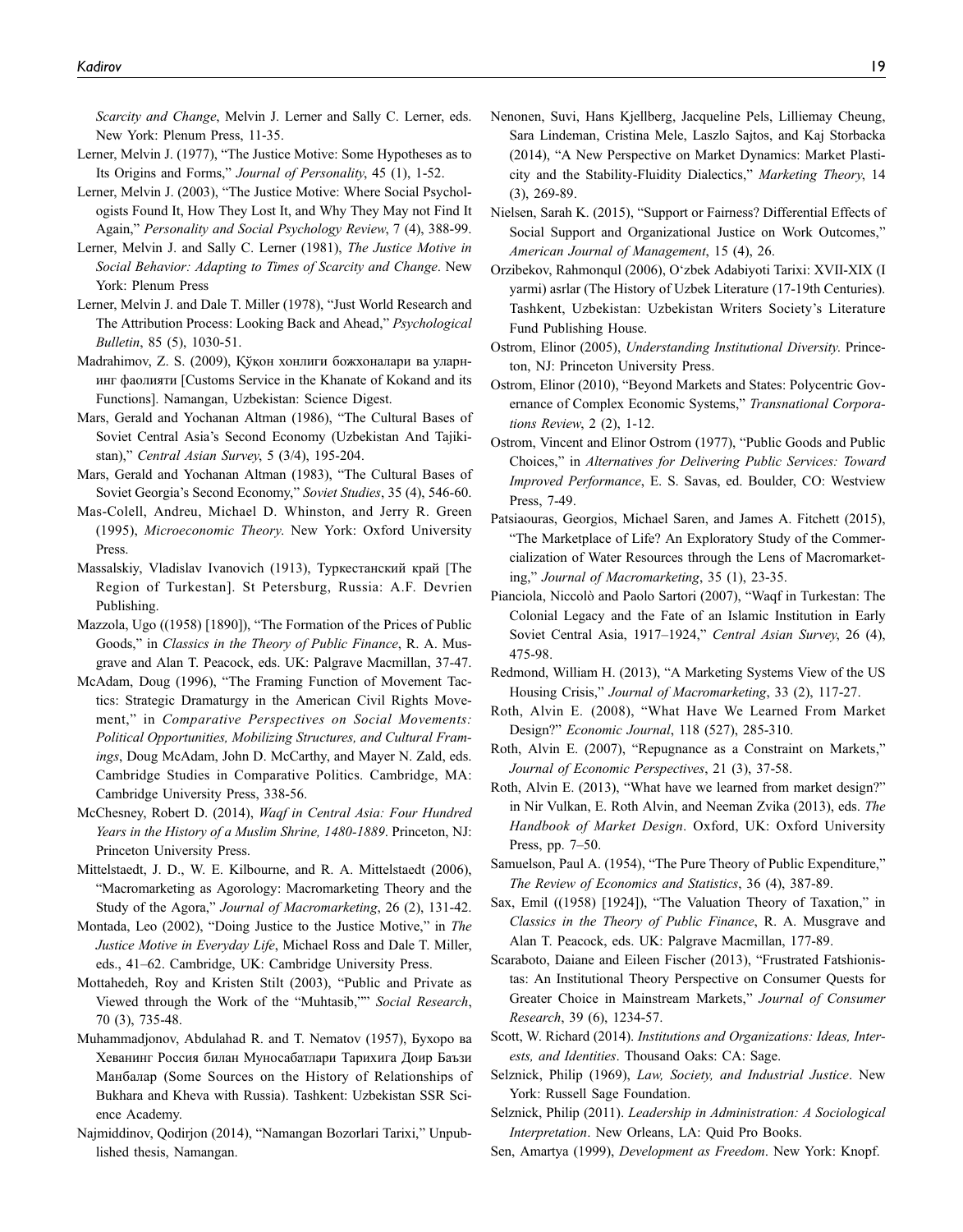Scarcity and Change, Melvin J. Lerner and Sally C. Lerner, eds. New York: Plenum Press, 11-35.

- Lerner, Melvin J. (1977), "The Justice Motive: Some Hypotheses as to Its Origins and Forms," Journal of Personality, 45 (1), 1-52.
- Lerner, Melvin J. (2003), "The Justice Motive: Where Social Psychologists Found It, How They Lost It, and Why They May not Find It Again," Personality and Social Psychology Review, 7 (4), 388-99.
- Lerner, Melvin J. and Sally C. Lerner (1981), The Justice Motive in Social Behavior: Adapting to Times of Scarcity and Change. New York: Plenum Press
- Lerner, Melvin J. and Dale T. Miller (1978), "Just World Research and The Attribution Process: Looking Back and Ahead," Psychological Bulletin, 85 (5), 1030-51.
- Madrahimov, Z. S. (2009), Қўқон хонлиги божхоналари ва уларнинг фаолияти [Customs Service in the Khanate of Kokand and its Functions]. Namangan, Uzbekistan: Science Digest.
- Mars, Gerald and Yochanan Altman (1986), "The Cultural Bases of Soviet Central Asia's Second Economy (Uzbekistan And Tajikistan)," Central Asian Survey, 5 (3/4), 195-204.
- Mars, Gerald and Yochanan Altman (1983), "The Cultural Bases of Soviet Georgia's Second Economy," Soviet Studies, 35 (4), 546-60.
- Mas-Colell, Andreu, Michael D. Whinston, and Jerry R. Green (1995), Microeconomic Theory. New York: Oxford University Press.
- Massalskiy, Vladislav Ivanovich (1913), Туркестанский край [The Region of Turkestan]. St Petersburg, Russia: A.F. Devrien Publishing.
- Mazzola, Ugo ((1958) [1890]), "The Formation of the Prices of Public Goods," in Classics in the Theory of Public Finance, R. A. Musgrave and Alan T. Peacock, eds. UK: Palgrave Macmillan, 37-47.
- McAdam, Doug (1996), "The Framing Function of Movement Tactics: Strategic Dramaturgy in the American Civil Rights Movement," in Comparative Perspectives on Social Movements: Political Opportunities, Mobilizing Structures, and Cultural Framings, Doug McAdam, John D. McCarthy, and Mayer N. Zald, eds. Cambridge Studies in Comparative Politics. Cambridge, MA: Cambridge University Press, 338-56.
- McChesney, Robert D. (2014), Waqf in Central Asia: Four Hundred Years in the History of a Muslim Shrine, 1480-1889. Princeton, NJ: Princeton University Press.
- Mittelstaedt, J. D., W. E. Kilbourne, and R. A. Mittelstaedt (2006), "Macromarketing as Agorology: Macromarketing Theory and the Study of the Agora," Journal of Macromarketing, 26 (2), 131-42.
- Montada, Leo (2002), "Doing Justice to the Justice Motive," in The Justice Motive in Everyday Life, Michael Ross and Dale T. Miller, eds., 41–62. Cambridge, UK: Cambridge University Press.
- Mottahedeh, Roy and Kristen Stilt (2003), "Public and Private as Viewed through the Work of the "Muhtasib,"" Social Research, 70 (3), 735-48.
- Muhammadjonov, Abdulahad R. and T. Nematov (1957), Бухоро ва Хеванинг Россия билан Муносабатлари Тарихига Доир Баъзи Манбалар (Some Sources on the History of Relationships of Bukhara and Kheva with Russia). Tashkent: Uzbekistan SSR Science Academy.
- Najmiddinov, Qodirjon (2014), "Namangan Bozorlari Tarixi," Unpublished thesis, Namangan.
- Nenonen, Suvi, Hans Kjellberg, Jacqueline Pels, Lilliemay Cheung, Sara Lindeman, Cristina Mele, Laszlo Sajtos, and Kaj Storbacka (2014), "A New Perspective on Market Dynamics: Market Plasticity and the Stability-Fluidity Dialectics," Marketing Theory, 14 (3), 269-89.
- Nielsen, Sarah K. (2015), "Support or Fairness? Differential Effects of Social Support and Organizational Justice on Work Outcomes," American Journal of Management, 15 (4), 26.
- Orzibekov, Rahmonqul (2006), O'zbek Adabiyoti Tarixi: XVII-XIX (I yarmi) asrlar (The History of Uzbek Literature (17-19th Centuries). Tashkent, Uzbekistan: Uzbekistan Writers Society's Literature Fund Publishing House.
- Ostrom, Elinor (2005), Understanding Institutional Diversity. Princeton, NJ: Princeton University Press.
- Ostrom, Elinor (2010), "Beyond Markets and States: Polycentric Governance of Complex Economic Systems," Transnational Corporations Review, 2 (2), 1-12.
- Ostrom, Vincent and Elinor Ostrom (1977), "Public Goods and Public Choices," in Alternatives for Delivering Public Services: Toward Improved Performance, E. S. Savas, ed. Boulder, CO: Westview Press, 7-49.
- Patsiaouras, Georgios, Michael Saren, and James A. Fitchett (2015), "The Marketplace of Life? An Exploratory Study of the Commercialization of Water Resources through the Lens of Macromarketing," Journal of Macromarketing, 35 (1), 23-35.
- Pianciola, Niccolò and Paolo Sartori (2007), "Waqf in Turkestan: The Colonial Legacy and the Fate of an Islamic Institution in Early Soviet Central Asia, 1917–1924," Central Asian Survey, 26 (4), 475-98.
- Redmond, William H. (2013), "A Marketing Systems View of the US Housing Crisis," Journal of Macromarketing, 33 (2), 117-27.
- Roth, Alvin E. (2008), "What Have We Learned From Market Design?" Economic Journal, 118 (527), 285-310.
- Roth, Alvin E. (2007), "Repugnance as a Constraint on Markets," Journal of Economic Perspectives, 21 (3), 37-58.
- Roth, Alvin E. (2013), "What have we learned from market design?" in Nir Vulkan, E. Roth Alvin, and Neeman Zvika (2013), eds. The Handbook of Market Design. Oxford, UK: Oxford University Press, pp. 7–50.
- Samuelson, Paul A. (1954), "The Pure Theory of Public Expenditure," The Review of Economics and Statistics, 36 (4), 387-89.
- Sax, Emil ((1958) [1924]), "The Valuation Theory of Taxation," in Classics in the Theory of Public Finance, R. A. Musgrave and Alan T. Peacock, eds. UK: Palgrave Macmillan, 177-89.
- Scaraboto, Daiane and Eileen Fischer (2013), "Frustrated Fatshionistas: An Institutional Theory Perspective on Consumer Quests for Greater Choice in Mainstream Markets," Journal of Consumer Research, 39 (6), 1234-57.
- Scott, W. Richard (2014). Institutions and Organizations: Ideas, Interests, and Identities. Thousand Oaks: CA: Sage.
- Selznick, Philip (1969), Law, Society, and Industrial Justice. New York: Russell Sage Foundation.
- Selznick, Philip (2011). Leadership in Administration: A Sociological Interpretation. New Orleans, LA: Quid Pro Books.
- Sen, Amartya (1999), Development as Freedom. New York: Knopf.